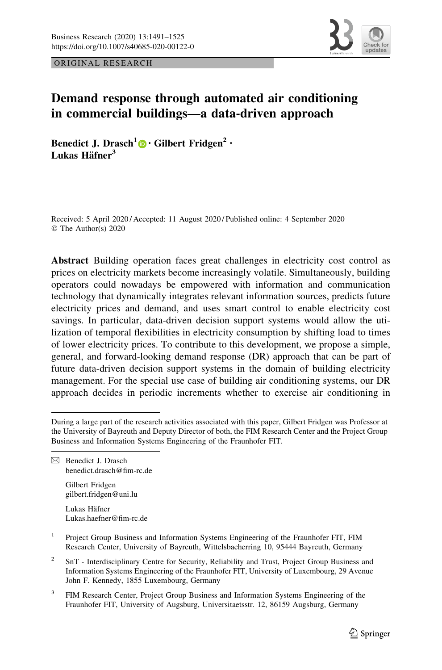

ORIGINAL RESEARCH

# Demand response through automated air conditioning in commercial buildings—a data-driven approach

Benedict J. Drasch<sup>1</sup> [•](http://orcid.org/0000-0003-0648-5048) Gilbert Fridgen<sup>2</sup> • Lukas Häfner $3$ 

Received: 5 April 2020 / Accepted: 11 August 2020 / Published online: 4 September 2020 © The Author(s) 2020

Abstract Building operation faces great challenges in electricity cost control as prices on electricity markets become increasingly volatile. Simultaneously, building operators could nowadays be empowered with information and communication technology that dynamically integrates relevant information sources, predicts future electricity prices and demand, and uses smart control to enable electricity cost savings. In particular, data-driven decision support systems would allow the utilization of temporal flexibilities in electricity consumption by shifting load to times of lower electricity prices. To contribute to this development, we propose a simple, general, and forward-looking demand response (DR) approach that can be part of future data-driven decision support systems in the domain of building electricity management. For the special use case of building air conditioning systems, our DR approach decides in periodic increments whether to exercise air conditioning in

& Benedict J. Drasch benedict.drasch@fim-rc.de

> Gilbert Fridgen gilbert.fridgen@uni.lu

Lukas Häfner Lukas.haefner@fim-rc.de

<sup>1</sup> Project Group Business and Information Systems Engineering of the Fraunhofer FIT, FIM Research Center, University of Bayreuth, Wittelsbacherring 10, 95444 Bayreuth, Germany

<sup>2</sup> SnT - Interdisciplinary Centre for Security, Reliability and Trust, Project Group Business and Information Systems Engineering of the Fraunhofer FIT, University of Luxembourg, 29 Avenue John F. Kennedy, 1855 Luxembourg, Germany

<sup>3</sup> FIM Research Center, Project Group Business and Information Systems Engineering of the Fraunhofer FIT, University of Augsburg, Universitaetsstr. 12, 86159 Augsburg, Germany

During a large part of the research activities associated with this paper, Gilbert Fridgen was Professor at the University of Bayreuth and Deputy Director of both, the FIM Research Center and the Project Group Business and Information Systems Engineering of the Fraunhofer FIT.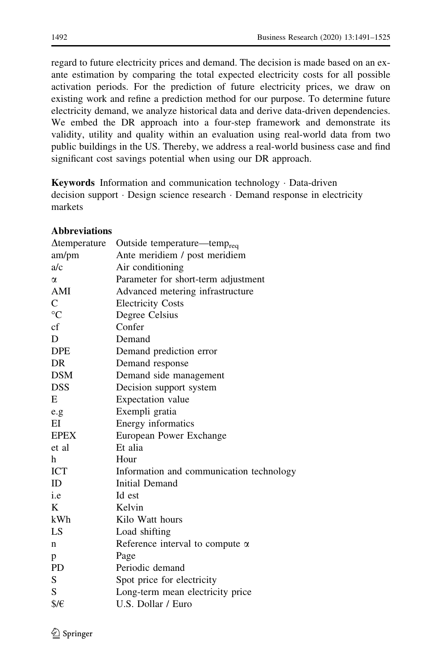regard to future electricity prices and demand. The decision is made based on an exante estimation by comparing the total expected electricity costs for all possible activation periods. For the prediction of future electricity prices, we draw on existing work and refine a prediction method for our purpose. To determine future electricity demand, we analyze historical data and derive data-driven dependencies. We embed the DR approach into a four-step framework and demonstrate its validity, utility and quality within an evaluation using real-world data from two public buildings in the US. Thereby, we address a real-world business case and find significant cost savings potential when using our DR approach.

Keywords Information and communication technology - Data-driven decision support - Design science research - Demand response in electricity markets

# **Abbreviations**

| $\Delta$ temperature | Outside temperature—temp <sub>req</sub>  |
|----------------------|------------------------------------------|
| am/pm                | Ante meridiem / post meridiem            |
| a/c                  | Air conditioning                         |
| $\alpha$             | Parameter for short-term adjustment      |
| AMI                  | Advanced metering infrastructure         |
| $\mathsf{C}$         | <b>Electricity Costs</b>                 |
| $\rm ^{\circ}C$      | Degree Celsius                           |
| cf                   | Confer                                   |
| D                    | Demand                                   |
| <b>DPE</b>           | Demand prediction error                  |
| DR                   | Demand response                          |
| <b>DSM</b>           | Demand side management                   |
| <b>DSS</b>           | Decision support system                  |
| E                    | Expectation value                        |
| e.g                  | Exempli gratia                           |
| EI                   | Energy informatics                       |
| <b>EPEX</b>          | European Power Exchange                  |
| et al                | Et alia                                  |
| h.                   | Hour                                     |
| <b>ICT</b>           | Information and communication technology |
| ID                   | Initial Demand                           |
| <i>i.e</i>           | Id est                                   |
| K                    | Kelvin                                   |
| kWh                  | Kilo Watt hours                          |
| LS                   | Load shifting                            |
| n                    | Reference interval to compute $\alpha$   |
| p                    | Page                                     |
| <b>PD</b>            | Periodic demand                          |
| S                    | Spot price for electricity               |
| S                    | Long-term mean electricity price         |
| \$/€                 | U.S. Dollar / Euro                       |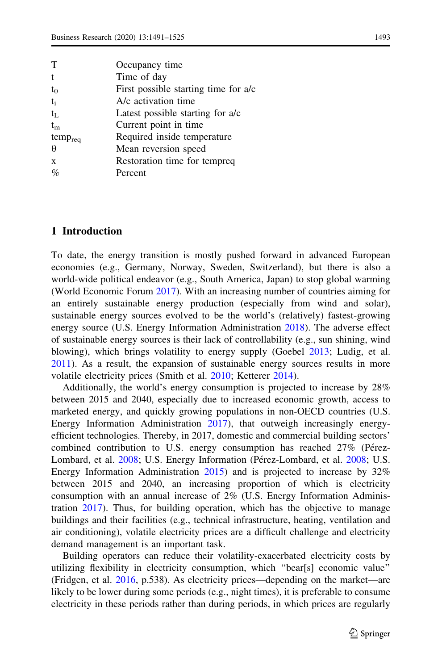| T            | Occupancy time                       |
|--------------|--------------------------------------|
| $\mathbf{f}$ | Time of day                          |
| $t_0$        | First possible starting time for a/c |
| $t_i$        | A/c activation time                  |
| $t_L$        | Latest possible starting for a/c     |
| $t_{\rm m}$  | Current point in time                |
| $temp_{req}$ | Required inside temperature          |
| $\theta$     | Mean reversion speed                 |
| X            | Restoration time for tempreq         |
|              | Percent                              |

# 1 Introduction

To date, the energy transition is mostly pushed forward in advanced European economies (e.g., Germany, Norway, Sweden, Switzerland), but there is also a world-wide political endeavor (e.g., South America, Japan) to stop global warming (World Economic Forum [2017](#page-34-0)). With an increasing number of countries aiming for an entirely sustainable energy production (especially from wind and solar), sustainable energy sources evolved to be the world's (relatively) fastest-growing energy source (U.S. Energy Information Administration [2018](#page-34-0)). The adverse effect of sustainable energy sources is their lack of controllability (e.g., sun shining, wind blowing), which brings volatility to energy supply (Goebel [2013;](#page-32-0) Ludig, et al. [2011\)](#page-33-0). As a result, the expansion of sustainable energy sources results in more volatile electricity prices (Smith et al. [2010](#page-33-0); Ketterer [2014\)](#page-32-0).

Additionally, the world's energy consumption is projected to increase by 28% between 2015 and 2040, especially due to increased economic growth, access to marketed energy, and quickly growing populations in non-OECD countries (U.S. Energy Information Administration [2017](#page-34-0)), that outweigh increasingly energyefficient technologies. Thereby, in 2017, domestic and commercial building sectors' combined contribution to U.S. energy consumption has reached 27% (Pérez-Lombard, et al. [2008;](#page-33-0) U.S. Energy Information (Pérez-Lombard, et al. [2008](#page-33-0); U.S. Energy Information Administration [2015](#page-34-0)) and is projected to increase by 32% between 2015 and 2040, an increasing proportion of which is electricity consumption with an annual increase of 2% (U.S. Energy Information Administration  $2017$ ). Thus, for building operation, which has the objective to manage buildings and their facilities (e.g., technical infrastructure, heating, ventilation and air conditioning), volatile electricity prices are a difficult challenge and electricity demand management is an important task.

Building operators can reduce their volatility-exacerbated electricity costs by utilizing flexibility in electricity consumption, which ''bear[s] economic value'' (Fridgen, et al. [2016,](#page-32-0) p.538). As electricity prices—depending on the market—are likely to be lower during some periods (e.g., night times), it is preferable to consume electricity in these periods rather than during periods, in which prices are regularly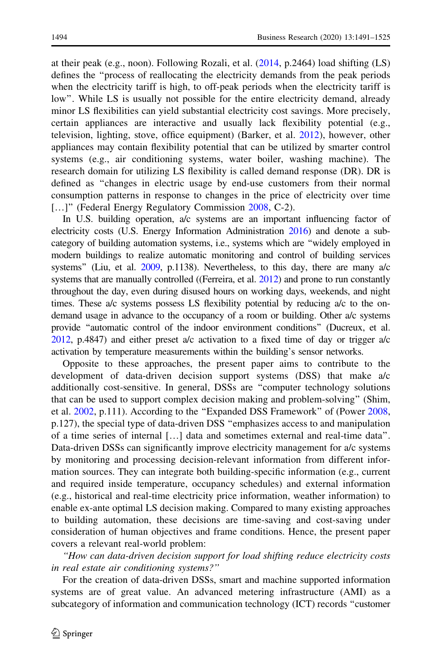at their peak (e.g., noon). Following Rozali, et al. ([2014,](#page-33-0) p.2464) load shifting (LS) defines the ''process of reallocating the electricity demands from the peak periods when the electricity tariff is high, to off-peak periods when the electricity tariff is low''. While LS is usually not possible for the entire electricity demand, already minor LS flexibilities can yield substantial electricity cost savings. More precisely, certain appliances are interactive and usually lack flexibility potential (e.g., television, lighting, stove, office equipment) (Barker, et al. [2012\)](#page-33-0), however, other appliances may contain flexibility potential that can be utilized by smarter control systems (e.g., air conditioning systems, water boiler, washing machine). The research domain for utilizing LS flexibility is called demand response (DR). DR is defined as ''changes in electric usage by end-use customers from their normal consumption patterns in response to changes in the price of electricity over time [...]" (Federal Energy Regulatory Commission [2008](#page-32-0), C-2).

In U.S. building operation, a/c systems are an important influencing factor of electricity costs (U.S. Energy Information Administration [2016](#page-34-0)) and denote a subcategory of building automation systems, i.e., systems which are ''widely employed in modern buildings to realize automatic monitoring and control of building services systems" (Liu, et al. [2009](#page-32-0), p.1138). Nevertheless, to this day, there are many a/c systems that are manually controlled ((Ferreira, et al. [2012\)](#page-32-0) and prone to run constantly throughout the day, even during disused hours on working days, weekends, and night times. These a/c systems possess LS flexibility potential by reducing a/c to the ondemand usage in advance to the occupancy of a room or building. Other a/c systems provide ''automatic control of the indoor environment conditions'' (Ducreux, et al. [2012](#page-32-0), p.4847) and either preset a/c activation to a fixed time of day or trigger a/c activation by temperature measurements within the building's sensor networks.

Opposite to these approaches, the present paper aims to contribute to the development of data-driven decision support systems (DSS) that make a/c additionally cost-sensitive. In general, DSSs are ''computer technology solutions that can be used to support complex decision making and problem-solving'' (Shim, et al. [2002](#page-33-0), p.111). According to the ''Expanded DSS Framework'' of (Power [2008,](#page-33-0) p.127), the special type of data-driven DSS ''emphasizes access to and manipulation of a time series of internal […] data and sometimes external and real-time data''. Data-driven DSSs can significantly improve electricity management for a/c systems by monitoring and processing decision-relevant information from different information sources. They can integrate both building-specific information (e.g., current and required inside temperature, occupancy schedules) and external information (e.g., historical and real-time electricity price information, weather information) to enable ex-ante optimal LS decision making. Compared to many existing approaches to building automation, these decisions are time-saving and cost-saving under consideration of human objectives and frame conditions. Hence, the present paper covers a relevant real-world problem:

''How can data-driven decision support for load shifting reduce electricity costs in real estate air conditioning systems?''

For the creation of data-driven DSSs, smart and machine supported information systems are of great value. An advanced metering infrastructure (AMI) as a subcategory of information and communication technology (ICT) records ''customer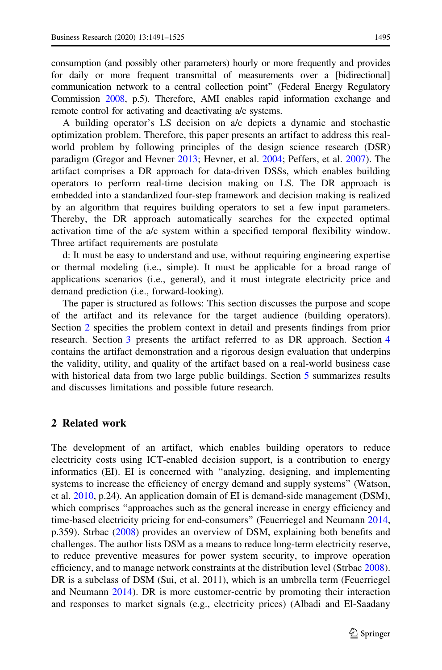consumption (and possibly other parameters) hourly or more frequently and provides for daily or more frequent transmittal of measurements over a [bidirectional] communication network to a central collection point'' (Federal Energy Regulatory Commission [2008](#page-32-0), p.5). Therefore, AMI enables rapid information exchange and remote control for activating and deactivating a/c systems.

A building operator's LS decision on a/c depicts a dynamic and stochastic optimization problem. Therefore, this paper presents an artifact to address this realworld problem by following principles of the design science research (DSR) paradigm (Gregor and Hevner [2013;](#page-32-0) Hevner, et al. [2004;](#page-32-0) Peffers, et al. [2007\)](#page-33-0). The artifact comprises a DR approach for data-driven DSSs, which enables building operators to perform real-time decision making on LS. The DR approach is embedded into a standardized four-step framework and decision making is realized by an algorithm that requires building operators to set a few input parameters. Thereby, the DR approach automatically searches for the expected optimal activation time of the a/c system within a specified temporal flexibility window. Three artifact requirements are postulate

d: It must be easy to understand and use, without requiring engineering expertise or thermal modeling (i.e., simple). It must be applicable for a broad range of applications scenarios (i.e., general), and it must integrate electricity price and demand prediction (i.e., forward-looking).

The paper is structured as follows: This section discusses the purpose and scope of the artifact and its relevance for the target audience (building operators). Section [2](#page-6-0) specifies the problem context in detail and presents findings from prior research. Section [3](#page-7-0) presents the artifact referred to as DR approach. Section [4](#page-13-0) contains the artifact demonstration and a rigorous design evaluation that underpins the validity, utility, and quality of the artifact based on a real-world business case with historical data from two large public buildings. Section [5](#page-30-0) summarizes results and discusses limitations and possible future research.

# 2 Related work

The development of an artifact, which enables building operators to reduce electricity costs using ICT-enabled decision support, is a contribution to energy informatics (EI). EI is concerned with ''analyzing, designing, and implementing systems to increase the efficiency of energy demand and supply systems'' (Watson, et al. [2010](#page-34-0), p.24). An application domain of EI is demand-side management (DSM), which comprises "approaches such as the general increase in energy efficiency and time-based electricity pricing for end-consumers'' (Feuerriegel and Neumann [2014,](#page-32-0) p.359). Strbac [\(2008](#page-33-0)) provides an overview of DSM, explaining both benefits and challenges. The author lists DSM as a means to reduce long-term electricity reserve, to reduce preventive measures for power system security, to improve operation efficiency, and to manage network constraints at the distribution level (Strbac [2008\)](#page-33-0). DR is a subclass of DSM (Sui, et al. 2011), which is an umbrella term (Feuerriegel and Neumann [2014\)](#page-32-0). DR is more customer-centric by promoting their interaction and responses to market signals (e.g., electricity prices) (Albadi and El-Saadany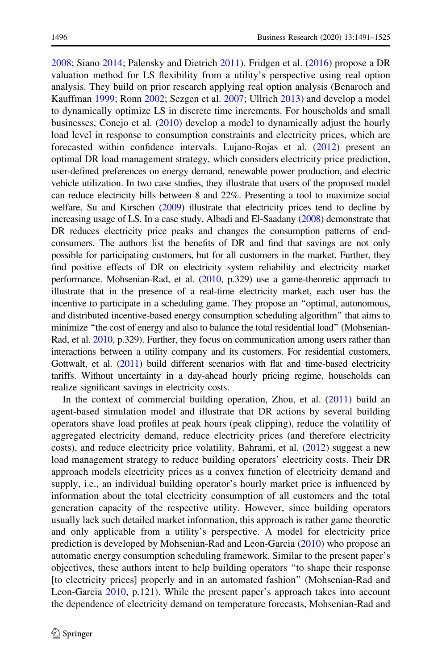Kauffman [1999](#page-32-0); Ronn [2002;](#page-33-0) Sezgen et al. [2007;](#page-33-0) Ullrich [2013\)](#page-34-0) and develop a model to dynamically optimize LS in discrete time increments. For households and small businesses, Conejo et al. ([2010\)](#page-32-0) develop a model to dynamically adjust the hourly load level in response to consumption constraints and electricity prices, which are forecasted within confidence intervals. Lujano-Rojas et al. ([2012\)](#page-33-0) present an optimal DR load management strategy, which considers electricity price prediction, user-defined preferences on energy demand, renewable power production, and electric vehicle utilization. In two case studies, they illustrate that users of the proposed model can reduce electricity bills between 8 and 22%. Presenting a tool to maximize social welfare, Su and Kirschen [\(2009](#page-33-0)) illustrate that electricity prices tend to decline by increasing usage of LS. In a case study, Albadi and El-Saadany [\(2008\)](#page-32-0) demonstrate that DR reduces electricity price peaks and changes the consumption patterns of endconsumers. The authors list the benefits of DR and find that savings are not only possible for participating customers, but for all customers in the market. Further, they find positive effects of DR on electricity system reliability and electricity market performance. Mohsenian-Rad, et al. ([2010,](#page-33-0) p.329) use a game-theoretic approach to illustrate that in the presence of a real-time electricity market, each user has the incentive to participate in a scheduling game. They propose an ''optimal, autonomous, and distributed incentive-based energy consumption scheduling algorithm'' that aims to minimize ''the cost of energy and also to balance the total residential load'' (Mohsenian-Rad, et al. [2010,](#page-33-0) p.329). Further, they focus on communication among users rather than interactions between a utility company and its customers. For residential customers, Gottwalt, et al. [\(2011\)](#page-32-0) build different scenarios with flat and time-based electricity tariffs. Without uncertainty in a day-ahead hourly pricing regime, households can realize significant savings in electricity costs.

In the context of commercial building operation, Zhou, et al. ([2011\)](#page-34-0) build an agent-based simulation model and illustrate that DR actions by several building operators shave load profiles at peak hours (peak clipping), reduce the volatility of aggregated electricity demand, reduce electricity prices (and therefore electricity costs), and reduce electricity price volatility. Bahrami, et al.  $(2012)$  $(2012)$  suggest a new load management strategy to reduce building operators' electricity costs. Their DR approach models electricity prices as a convex function of electricity demand and supply, i.e., an individual building operator's hourly market price is influenced by information about the total electricity consumption of all customers and the total generation capacity of the respective utility. However, since building operators usually lack such detailed market information, this approach is rather game theoretic and only applicable from a utility's perspective. A model for electricity price prediction is developed by Mohsenian-Rad and Leon-Garcia [\(2010](#page-33-0)) who propose an automatic energy consumption scheduling framework. Similar to the present paper's objectives, these authors intent to help building operators ''to shape their response [to electricity prices] properly and in an automated fashion'' (Mohsenian-Rad and Leon-Garcia [2010](#page-33-0), p.121). While the present paper's approach takes into account the dependence of electricity demand on temperature forecasts, Mohsenian-Rad and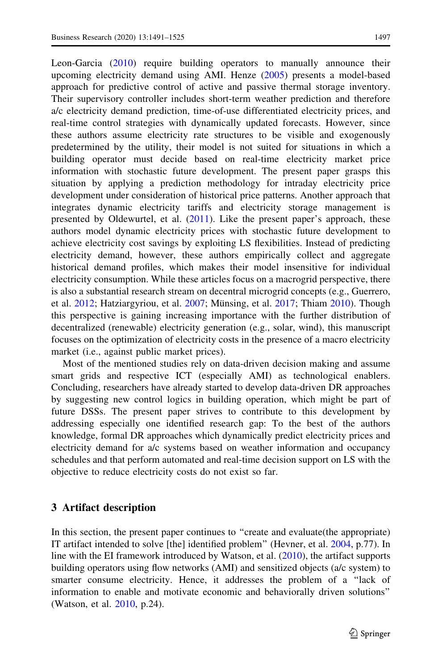<span id="page-6-0"></span>Leon-Garcia [\(2010](#page-33-0)) require building operators to manually announce their upcoming electricity demand using AMI. Henze ([2005\)](#page-32-0) presents a model-based approach for predictive control of active and passive thermal storage inventory. Their supervisory controller includes short-term weather prediction and therefore a/c electricity demand prediction, time-of-use differentiated electricity prices, and real-time control strategies with dynamically updated forecasts. However, since these authors assume electricity rate structures to be visible and exogenously predetermined by the utility, their model is not suited for situations in which a building operator must decide based on real-time electricity market price information with stochastic future development. The present paper grasps this situation by applying a prediction methodology for intraday electricity price development under consideration of historical price patterns. Another approach that integrates dynamic electricity tariffs and electricity storage management is presented by Oldewurtel, et al. [\(2011](#page-33-0)). Like the present paper's approach, these authors model dynamic electricity prices with stochastic future development to achieve electricity cost savings by exploiting LS flexibilities. Instead of predicting electricity demand, however, these authors empirically collect and aggregate historical demand profiles, which makes their model insensitive for individual electricity consumption. While these articles focus on a macrogrid perspective, there is also a substantial research stream on decentral microgrid concepts (e.g., Guerrero, et al.  $2012$ ; Hatziargyriou, et al.  $2007$ ; Münsing, et al.  $2017$ ; Thiam  $2010$ ). Though this perspective is gaining increasing importance with the further distribution of decentralized (renewable) electricity generation (e.g., solar, wind), this manuscript focuses on the optimization of electricity costs in the presence of a macro electricity market (i.e., against public market prices).

Most of the mentioned studies rely on data-driven decision making and assume smart grids and respective ICT (especially AMI) as technological enablers. Concluding, researchers have already started to develop data-driven DR approaches by suggesting new control logics in building operation, which might be part of future DSSs. The present paper strives to contribute to this development by addressing especially one identified research gap: To the best of the authors knowledge, formal DR approaches which dynamically predict electricity prices and electricity demand for a/c systems based on weather information and occupancy schedules and that perform automated and real-time decision support on LS with the objective to reduce electricity costs do not exist so far.

# 3 Artifact description

In this section, the present paper continues to ''create and evaluate(the appropriate) IT artifact intended to solve [the] identified problem'' (Hevner, et al. [2004](#page-32-0), p.77). In line with the EI framework introduced by Watson, et al. ([2010\)](#page-34-0), the artifact supports building operators using flow networks (AMI) and sensitized objects (a/c system) to smarter consume electricity. Hence, it addresses the problem of a ''lack of information to enable and motivate economic and behaviorally driven solutions'' (Watson, et al. [2010](#page-34-0), p.24).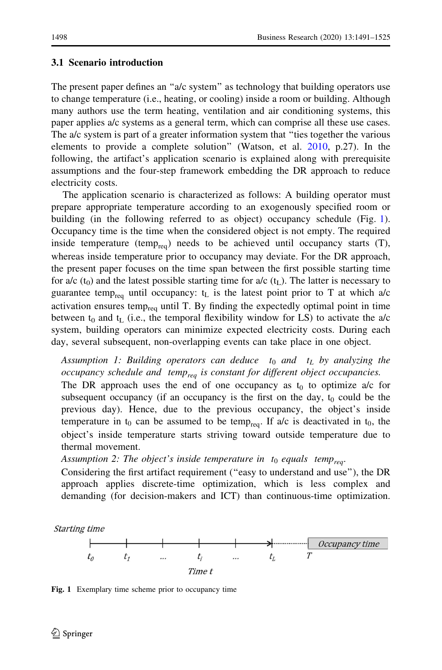#### <span id="page-7-0"></span>3.1 Scenario introduction

The present paper defines an "a/c system" as technology that building operators use to change temperature (i.e., heating, or cooling) inside a room or building. Although many authors use the term heating, ventilation and air conditioning systems, this paper applies a/c systems as a general term, which can comprise all these use cases. The a/c system is part of a greater information system that ''ties together the various elements to provide a complete solution'' (Watson, et al. [2010,](#page-34-0) p.27). In the following, the artifact's application scenario is explained along with prerequisite assumptions and the four-step framework embedding the DR approach to reduce electricity costs.

The application scenario is characterized as follows: A building operator must prepare appropriate temperature according to an exogenously specified room or building (in the following referred to as object) occupancy schedule (Fig. 1). Occupancy time is the time when the considered object is not empty. The required inside temperature (temp<sub>req</sub>) needs to be achieved until occupancy starts  $(T)$ , whereas inside temperature prior to occupancy may deviate. For the DR approach, the present paper focuses on the time span between the first possible starting time for a/c (t<sub>0</sub>) and the latest possible starting time for a/c (t<sub>1</sub>). The latter is necessary to guarantee temp<sub>req</sub> until occupancy:  $t_L$  is the latest point prior to T at which a/c activation ensures temp<sub>req</sub> until T. By finding the expectedly optimal point in time between  $t_0$  and  $t_L$  (i.e., the temporal flexibility window for LS) to activate the a/c system, building operators can minimize expected electricity costs. During each day, several subsequent, non-overlapping events can take place in one object.

Assumption 1: Building operators can deduce  $t_0$  and  $t_L$  by analyzing the occupancy schedule and temp<sub>rea</sub> is constant for different object occupancies.

The DR approach uses the end of one occupancy as  $t_0$  to optimize a/c for subsequent occupancy (if an occupancy is the first on the day,  $t_0$  could be the previous day). Hence, due to the previous occupancy, the object's inside temperature in  $t_0$  can be assumed to be temp<sub>req</sub>. If a/c is deactivated in  $t_0$ , the object's inside temperature starts striving toward outside temperature due to thermal movement.

Assumption 2: The object's inside temperature in  $t_0$  equals temp<sub>req</sub>.

Considering the first artifact requirement (''easy to understand and use''), the DR approach applies discrete-time optimization, which is less complex and demanding (for decision-makers and ICT) than continuous-time optimization.



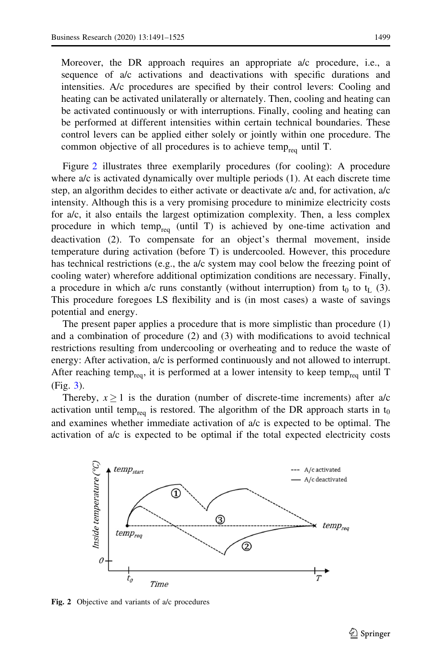<span id="page-8-0"></span>Moreover, the DR approach requires an appropriate a/c procedure, i.e., a sequence of a/c activations and deactivations with specific durations and intensities. A/c procedures are specified by their control levers: Cooling and heating can be activated unilaterally or alternately. Then, cooling and heating can be activated continuously or with interruptions. Finally, cooling and heating can be performed at different intensities within certain technical boundaries. These control levers can be applied either solely or jointly within one procedure. The common objective of all procedures is to achieve temp<sub>req</sub> until  $T$ .

Figure 2 illustrates three exemplarily procedures (for cooling): A procedure where a/c is activated dynamically over multiple periods (1). At each discrete time step, an algorithm decides to either activate or deactivate a/c and, for activation, a/c intensity. Although this is a very promising procedure to minimize electricity costs for a/c, it also entails the largest optimization complexity. Then, a less complex procedure in which temp<sub>req</sub> (until T) is achieved by one-time activation and deactivation (2). To compensate for an object's thermal movement, inside temperature during activation (before T) is undercooled. However, this procedure has technical restrictions (e.g., the a/c system may cool below the freezing point of cooling water) wherefore additional optimization conditions are necessary. Finally, a procedure in which a/c runs constantly (without interruption) from  $t_0$  to  $t_1$  (3). This procedure foregoes LS flexibility and is (in most cases) a waste of savings potential and energy.

The present paper applies a procedure that is more simplistic than procedure (1) and a combination of procedure (2) and (3) with modifications to avoid technical restrictions resulting from undercooling or overheating and to reduce the waste of energy: After activation, a/c is performed continuously and not allowed to interrupt. After reaching temp<sub>req</sub>, it is performed at a lower intensity to keep temp<sub>req</sub> until T (Fig. [3](#page-9-0)).

Thereby,  $x \ge 1$  is the duration (number of discrete-time increments) after a/c activation until temp<sub>req</sub> is restored. The algorithm of the DR approach starts in  $t_0$ and examines whether immediate activation of a/c is expected to be optimal. The activation of a/c is expected to be optimal if the total expected electricity costs



Fig. 2 Objective and variants of a/c procedures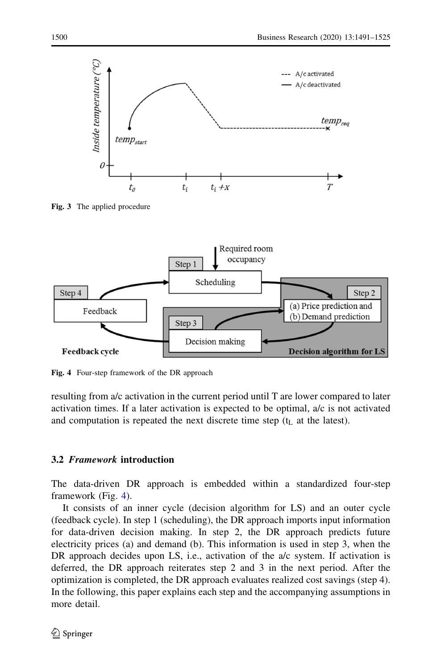<span id="page-9-0"></span>

Fig. 3 The applied procedure



Fig. 4 Four-step framework of the DR approach

resulting from a/c activation in the current period until T are lower compared to later activation times. If a later activation is expected to be optimal, a/c is not activated and computation is repeated the next discrete time step  $(t<sub>L</sub>$  at the latest).

## 3.2 Framework introduction

The data-driven DR approach is embedded within a standardized four-step framework (Fig. 4).

It consists of an inner cycle (decision algorithm for LS) and an outer cycle (feedback cycle). In step 1 (scheduling), the DR approach imports input information for data-driven decision making. In step 2, the DR approach predicts future electricity prices (a) and demand (b). This information is used in step 3, when the DR approach decides upon LS, i.e., activation of the a/c system. If activation is deferred, the DR approach reiterates step 2 and 3 in the next period. After the optimization is completed, the DR approach evaluates realized cost savings (step 4). In the following, this paper explains each step and the accompanying assumptions in more detail.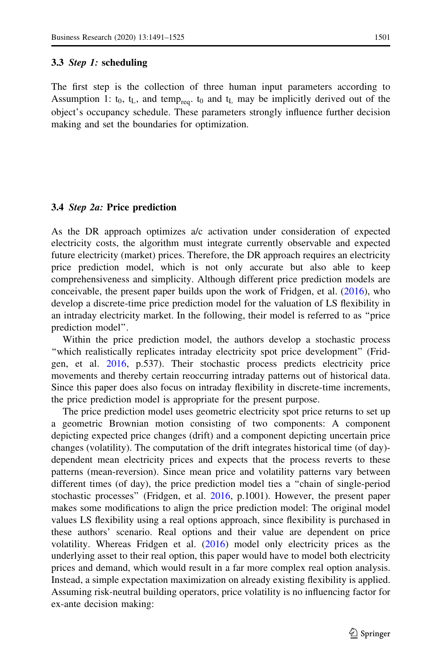The first step is the collection of three human input parameters according to Assumption 1:  $t_0$ ,  $t_L$ , and temp<sub>req</sub>.  $t_0$  and  $t_L$  may be implicitly derived out of the object's occupancy schedule. These parameters strongly influence further decision making and set the boundaries for optimization.

## 3.4 Step 2a: Price prediction

As the DR approach optimizes a/c activation under consideration of expected electricity costs, the algorithm must integrate currently observable and expected future electricity (market) prices. Therefore, the DR approach requires an electricity price prediction model, which is not only accurate but also able to keep comprehensiveness and simplicity. Although different price prediction models are conceivable, the present paper builds upon the work of Fridgen, et al. [\(2016](#page-32-0)), who develop a discrete-time price prediction model for the valuation of LS flexibility in an intraday electricity market. In the following, their model is referred to as ''price prediction model''.

Within the price prediction model, the authors develop a stochastic process ''which realistically replicates intraday electricity spot price development'' (Fridgen, et al. [2016,](#page-32-0) p.537). Their stochastic process predicts electricity price movements and thereby certain reoccurring intraday patterns out of historical data. Since this paper does also focus on intraday flexibility in discrete-time increments, the price prediction model is appropriate for the present purpose.

The price prediction model uses geometric electricity spot price returns to set up a geometric Brownian motion consisting of two components: A component depicting expected price changes (drift) and a component depicting uncertain price changes (volatility). The computation of the drift integrates historical time (of day) dependent mean electricity prices and expects that the process reverts to these patterns (mean-reversion). Since mean price and volatility patterns vary between different times (of day), the price prediction model ties a ''chain of single-period stochastic processes'' (Fridgen, et al. [2016](#page-32-0), p.1001). However, the present paper makes some modifications to align the price prediction model: The original model values LS flexibility using a real options approach, since flexibility is purchased in these authors' scenario. Real options and their value are dependent on price volatility. Whereas Fridgen et al. [\(2016](#page-32-0)) model only electricity prices as the underlying asset to their real option, this paper would have to model both electricity prices and demand, which would result in a far more complex real option analysis. Instead, a simple expectation maximization on already existing flexibility is applied. Assuming risk-neutral building operators, price volatility is no influencing factor for ex-ante decision making: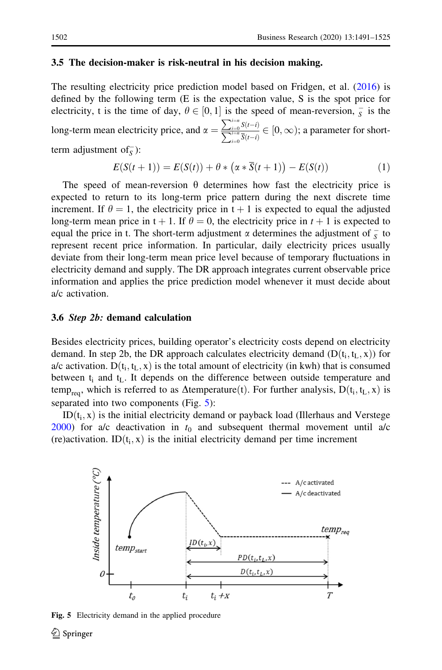#### <span id="page-11-0"></span>3.5 The decision-maker is risk-neutral in his decision making.

The resulting electricity price prediction model based on Fridgen, et al. ([2016\)](#page-32-0) is defined by the following term (E is the expectation value, S is the spot price for electricity, t is the time of day,  $\theta \in [0, 1]$  is the speed of mean-reversion,  $\frac{1}{s}$  is the long-term mean electricity price, and  $\alpha =$  $\frac{\sum_{i=0}^{i=n} S(t-i)}{\sum_{i=0}^{i=n} \overline{S}(t-i)}$  $\in [0, \infty)$ ; a parameter for shortterm adjustment of  $_S^-$ ):

$$
E(S(t+1)) = E(S(t)) + \theta * (\alpha * \overline{S}(t+1)) - E(S(t))
$$
\n(1)

The speed of mean-reversion  $\theta$  determines how fast the electricity price is expected to return to its long-term price pattern during the next discrete time increment. If  $\theta = 1$ , the electricity price in  $t + 1$  is expected to equal the adjusted long-term mean price in t + 1. If  $\theta = 0$ , the electricity price in t + 1 is expected to equal the price in t. The short-term adjustment  $\alpha$  determines the adjustment of  $\frac{1}{s}$  to represent recent price information. In particular, daily electricity prices usually deviate from their long-term mean price level because of temporary fluctuations in electricity demand and supply. The DR approach integrates current observable price information and applies the price prediction model whenever it must decide about a/c activation.

#### 3.6 Step 2b: demand calculation

Besides electricity prices, building operator's electricity costs depend on electricity demand. In step 2b, the DR approach calculates electricity demand  $(D(t_i, t_{L}, x))$  for a/c activation.  $D(t_i, t_i, x)$  is the total amount of electricity (in kwh) that is consumed between  $t_i$  and  $t_L$ . It depends on the difference between outside temperature and temp<sub>req</sub>, which is referred to as  $\Delta$ temperature(t). For further analysis, D(t<sub>i</sub>, t<sub>L</sub>, x) is separated into two components (Fig. 5):

 $ID(t_i, x)$  is the initial electricity demand or payback load (Illerhaus and Verstege [2000\)](#page-32-0) for a/c deactivation in  $t_0$  and subsequent thermal movement until a/c (re)activation. ID( $t_i$ , x) is the initial electricity demand per time increment



Fig. 5 Electricity demand in the applied procedure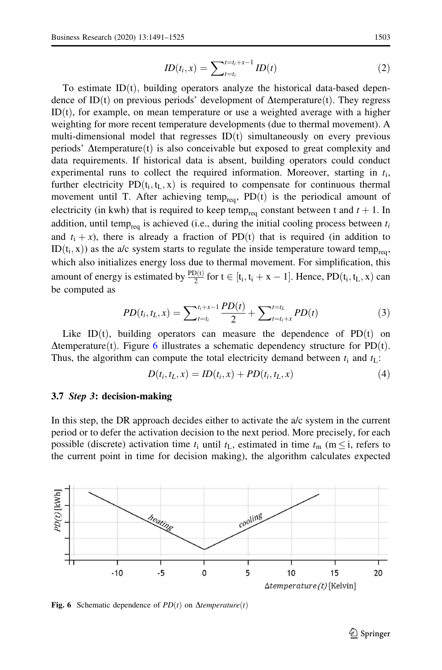$$
ID(t_i, x) = \sum_{t=t_i}^{t=t_i + x-1} ID(t)
$$
 (2)

To estimate  $ID(t)$ , building operators analyze the historical data-based dependence of ID $(t)$  on previous periods' development of  $\Delta$ temperature $(t)$ . They regress  $ID(t)$ , for example, on mean temperature or use a weighted average with a higher weighting for more recent temperature developments (due to thermal movement). A multi-dimensional model that regresses  $ID(t)$  simultaneously on every previous periods'  $\Delta$ temperature $(t)$  is also conceivable but exposed to great complexity and data requirements. If historical data is absent, building operators could conduct experimental runs to collect the required information. Moreover, starting in  $t_i$ , further electricity  $PD(t_i, t_{L_i}, x)$  is required to compensate for continuous thermal movement until T. After achieving temp<sub>req</sub>, PD $(t)$  is the periodical amount of electricity (in kwh) that is required to keep temp<sub>req</sub> constant between t and  $t + 1$ . In addition, until temp<sub>req</sub> is achieved (i.e., during the initial cooling process between  $t_i$ and  $t_i + x$ ), there is already a fraction of PD(t) that is required (in addition to ID $(t_i, x)$  as the a/c system starts to regulate the inside temperature toward temp<sub>req</sub>, which also initializes energy loss due to thermal movement. For simplification, this amount of energy is estimated by  $\frac{PD(t)}{2}$  for  $t \in [t_i, t_i + x - 1]$ . Hence, PD $(t_i, t_L, x)$  can be computed as

$$
PD(t_i, t_L, x) = \sum_{t=t_i}^{t_i + x - 1} \frac{PD(t)}{2} + \sum_{t=t_i + x}^{t=t_L} PD(t)
$$
\n(3)

Like ID $(t)$ , building operators can measure the dependence of PD $(t)$  on  $\Delta$ temperature(t). Figure 6 illustrates a schematic dependency structure for PD(t). Thus, the algorithm can compute the total electricity demand between  $t_i$  and  $t_l$ .

$$
D(t_i, t_L, x) = ID(t_i, x) + PD(t_i, t_L, x)
$$
\n(4)

#### 3.7 Step 3: decision-making

In this step, the DR approach decides either to activate the a/c system in the current period or to defer the activation decision to the next period. More precisely, for each possible (discrete) activation time  $t_i$  until  $t_L$ , estimated in time  $t_m$  (m  $\leq$  i, refers to the current point in time for decision making), the algorithm calculates expected



Fig. 6 Schematic dependence of  $PD(t)$  on  $\Delta$ temperature $(t)$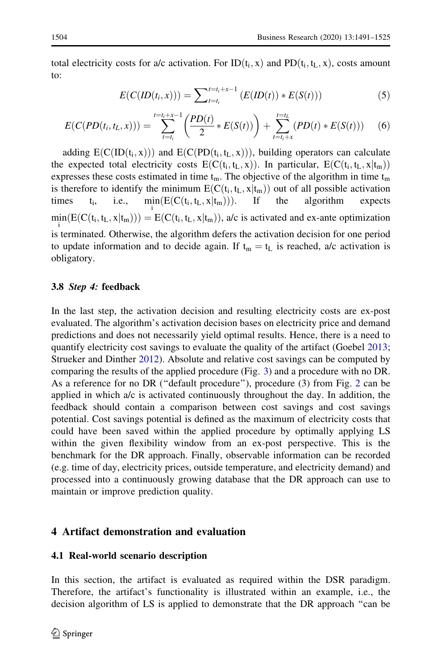<span id="page-13-0"></span>total electricity costs for a/c activation. For  $ID(t_i, x)$  and  $PD(t_i, t_L, x)$ , costs amount to:

$$
E(C(ID(t_i,x))) = \sum_{t=t_i}^{t=t_i+x-1} (E(ID(t)) * E(S(t)))
$$
\n(5)

$$
E(C(PD(t_i, t_L, x))) = \sum_{t=t_i}^{t=t_i + x-1} \left( \frac{PD(t)}{2} * E(S(t)) \right) + \sum_{t=t_i + x}^{t=t_L} (PD(t) * E(S(t))) \tag{6}
$$

adding  $E(C(ID(t_i, x)))$  and  $E(C(PD(t_i, t_i, x)))$ , building operators can calculate the expected total electricity costs  $E(C(t_i, t_L, x))$ . In particular,  $E(C(t_i, t_L, x|t_m))$ expresses these costs estimated in time  $t_m$ . The objective of the algorithm in time  $t_m$ is therefore to identify the minimum  $E(C(t_i, t_L, x|t_m))$  out of all possible activation times t<sub>i</sub>, i.e.,  $min_i(E(C(t_i, t_L, x | t_m)))$ . If the algorithm expects  $min_i(E(C(t_i, t_L, x|t_m))) = E(C(t_i, t_L, x|t_m))$ , a/c is activated and ex-ante optimization is terminated. Otherwise, the algorithm defers the activation decision for one period to update information and to decide again. If  $t_m = t_L$  is reached, a/c activation is obligatory.

# 3.8 Step 4: feedback

In the last step, the activation decision and resulting electricity costs are ex-post evaluated. The algorithm's activation decision bases on electricity price and demand predictions and does not necessarily yield optimal results. Hence, there is a need to quantify electricity cost savings to evaluate the quality of the artifact (Goebel [2013;](#page-32-0) Strueker and Dinther [2012](#page-33-0)). Absolute and relative cost savings can be computed by comparing the results of the applied procedure (Fig. [3](#page-9-0)) and a procedure with no DR. As a reference for no DR (''default procedure''), procedure (3) from Fig. [2](#page-8-0) can be applied in which a/c is activated continuously throughout the day. In addition, the feedback should contain a comparison between cost savings and cost savings potential. Cost savings potential is defined as the maximum of electricity costs that could have been saved within the applied procedure by optimally applying LS within the given flexibility window from an ex-post perspective. This is the benchmark for the DR approach. Finally, observable information can be recorded (e.g. time of day, electricity prices, outside temperature, and electricity demand) and processed into a continuously growing database that the DR approach can use to maintain or improve prediction quality.

## 4 Artifact demonstration and evaluation

#### 4.1 Real-world scenario description

In this section, the artifact is evaluated as required within the DSR paradigm. Therefore, the artifact's functionality is illustrated within an example, i.e., the decision algorithm of LS is applied to demonstrate that the DR approach ''can be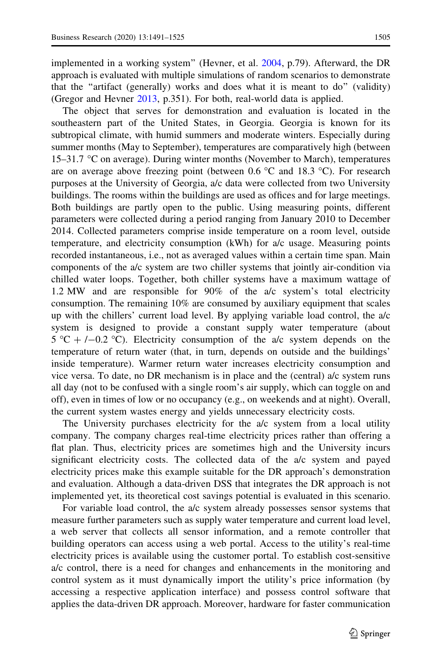implemented in a working system'' (Hevner, et al. [2004](#page-32-0), p.79). Afterward, the DR approach is evaluated with multiple simulations of random scenarios to demonstrate that the ''artifact (generally) works and does what it is meant to do'' (validity) (Gregor and Hevner [2013](#page-32-0), p.351). For both, real-world data is applied.

The object that serves for demonstration and evaluation is located in the southeastern part of the United States, in Georgia. Georgia is known for its subtropical climate, with humid summers and moderate winters. Especially during summer months (May to September), temperatures are comparatively high (between 15–31.7  $\degree$ C on average). During winter months (November to March), temperatures are on average above freezing point (between  $0.6 \degree C$  and  $18.3 \degree C$ ). For research purposes at the University of Georgia, a/c data were collected from two University buildings. The rooms within the buildings are used as offices and for large meetings. Both buildings are partly open to the public. Using measuring points, different parameters were collected during a period ranging from January 2010 to December 2014. Collected parameters comprise inside temperature on a room level, outside temperature, and electricity consumption (kWh) for a/c usage. Measuring points recorded instantaneous, i.e., not as averaged values within a certain time span. Main components of the a/c system are two chiller systems that jointly air-condition via chilled water loops. Together, both chiller systems have a maximum wattage of 1.2 MW and are responsible for 90% of the a/c system's total electricity consumption. The remaining 10% are consumed by auxiliary equipment that scales up with the chillers' current load level. By applying variable load control, the a/c system is designed to provide a constant supply water temperature (about  $5^{\circ}C + /-0.2^{\circ}C$ . Electricity consumption of the a/c system depends on the temperature of return water (that, in turn, depends on outside and the buildings' inside temperature). Warmer return water increases electricity consumption and vice versa. To date, no DR mechanism is in place and the (central) a/c system runs all day (not to be confused with a single room's air supply, which can toggle on and off), even in times of low or no occupancy (e.g., on weekends and at night). Overall, the current system wastes energy and yields unnecessary electricity costs.

The University purchases electricity for the a/c system from a local utility company. The company charges real-time electricity prices rather than offering a flat plan. Thus, electricity prices are sometimes high and the University incurs significant electricity costs. The collected data of the a/c system and payed electricity prices make this example suitable for the DR approach's demonstration and evaluation. Although a data-driven DSS that integrates the DR approach is not implemented yet, its theoretical cost savings potential is evaluated in this scenario.

For variable load control, the a/c system already possesses sensor systems that measure further parameters such as supply water temperature and current load level, a web server that collects all sensor information, and a remote controller that building operators can access using a web portal. Access to the utility's real-time electricity prices is available using the customer portal. To establish cost-sensitive a/c control, there is a need for changes and enhancements in the monitoring and control system as it must dynamically import the utility's price information (by accessing a respective application interface) and possess control software that applies the data-driven DR approach. Moreover, hardware for faster communication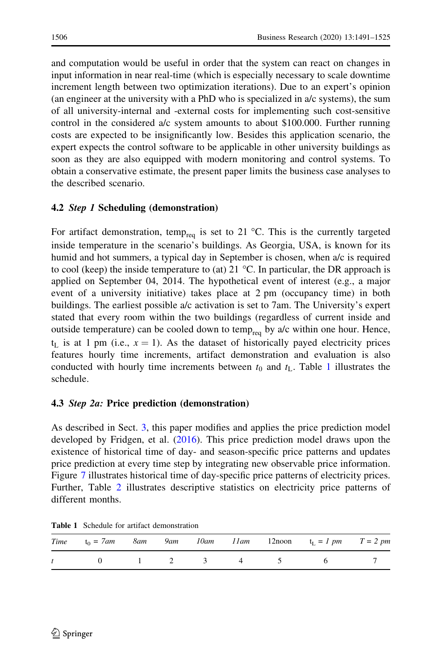<span id="page-15-0"></span>and computation would be useful in order that the system can react on changes in input information in near real-time (which is especially necessary to scale downtime increment length between two optimization iterations). Due to an expert's opinion (an engineer at the university with a PhD who is specialized in a/c systems), the sum of all university-internal and -external costs for implementing such cost-sensitive control in the considered a/c system amounts to about \$100.000. Further running costs are expected to be insignificantly low. Besides this application scenario, the expert expects the control software to be applicable in other university buildings as soon as they are also equipped with modern monitoring and control systems. To obtain a conservative estimate, the present paper limits the business case analyses to the described scenario.

# 4.2 Step 1 Scheduling (demonstration)

For artifact demonstration, temp<sub>req</sub> is set to 21 °C. This is the currently targeted inside temperature in the scenario's buildings. As Georgia, USA, is known for its humid and hot summers, a typical day in September is chosen, when a/c is required to cool (keep) the inside temperature to (at) 21 °C. In particular, the DR approach is applied on September 04, 2014. The hypothetical event of interest (e.g., a major event of a university initiative) takes place at 2 pm (occupancy time) in both buildings. The earliest possible a/c activation is set to 7am. The University's expert stated that every room within the two buildings (regardless of current inside and outside temperature) can be cooled down to temp<sub>req</sub> by  $a/c$  within one hour. Hence,  $t<sub>L</sub>$  is at 1 pm (i.e.,  $x = 1$ ). As the dataset of historically payed electricity prices features hourly time increments, artifact demonstration and evaluation is also conducted with hourly time increments between  $t_0$  and  $t_L$ . Table 1 illustrates the schedule.

## 4.3 Step 2a: Price prediction (demonstration)

As described in Sect. [3,](#page-7-0) this paper modifies and applies the price prediction model developed by Fridgen, et al. ([2016\)](#page-32-0). This price prediction model draws upon the existence of historical time of day- and season-specific price patterns and updates price prediction at every time step by integrating new observable price information. Figure [7](#page-16-0) illustrates historical time of day-specific price patterns of electricity prices. Further, Table [2](#page-16-0) illustrates descriptive statistics on electricity price patterns of different months.

|  |  |  | Time $t_0 = 7am$ 8am 9am 10am 11am 12noon $t_1 = 1pm T = 2pm$ |  |
|--|--|--|---------------------------------------------------------------|--|
|  |  |  | t 0 1 2 3 4 5 6 7                                             |  |

Table 1 Schedule for artifact demonstration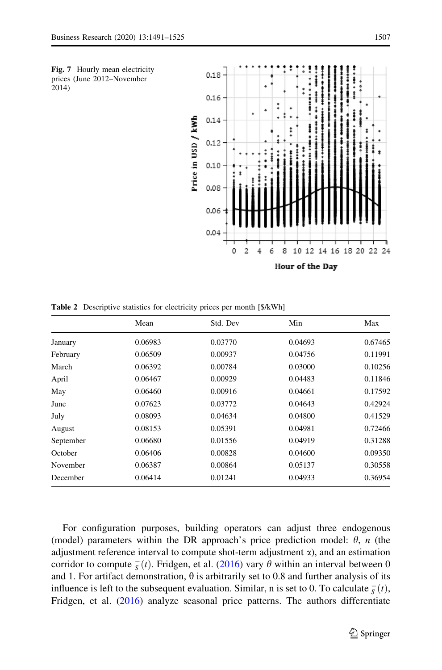

<span id="page-16-0"></span>Fig. 7 Hourly mean electricity prices (June 2012–November  $2014)$ 

| <b>Table 2</b> Descriptive statistics for electricity prices per month [\$/kWh] |  |  |  |  |
|---------------------------------------------------------------------------------|--|--|--|--|
|---------------------------------------------------------------------------------|--|--|--|--|

|           | Mean    | Std. Dev | Min     | Max     |
|-----------|---------|----------|---------|---------|
| January   | 0.06983 | 0.03770  | 0.04693 | 0.67465 |
| February  | 0.06509 | 0.00937  | 0.04756 | 0.11991 |
| March     | 0.06392 | 0.00784  | 0.03000 | 0.10256 |
| April     | 0.06467 | 0.00929  | 0.04483 | 0.11846 |
| May       | 0.06460 | 0.00916  | 0.04661 | 0.17592 |
| June      | 0.07623 | 0.03772  | 0.04643 | 0.42924 |
| July      | 0.08093 | 0.04634  | 0.04800 | 0.41529 |
| August    | 0.08153 | 0.05391  | 0.04981 | 0.72466 |
| September | 0.06680 | 0.01556  | 0.04919 | 0.31288 |
| October   | 0.06406 | 0.00828  | 0.04600 | 0.09350 |
| November  | 0.06387 | 0.00864  | 0.05137 | 0.30558 |
| December  | 0.06414 | 0.01241  | 0.04933 | 0.36954 |

For configuration purposes, building operators can adjust three endogenous (model) parameters within the DR approach's price prediction model:  $\theta$ , *n* (the adjustment reference interval to compute shot-term adjustment  $\alpha$ ), and an estimation corridor to compute  $\overline{s}(t)$ . Fridgen, et al. [\(2016](#page-32-0)) vary  $\theta$  within an interval between 0 and 1. For artifact demonstration,  $\theta$  is arbitrarily set to 0.8 and further analysis of its influence is left to the subsequent evaluation. Similar, n is set to 0. To calculate  $\frac{1}{S}(t)$ , Fridgen, et al. [\(2016](#page-32-0)) analyze seasonal price patterns. The authors differentiate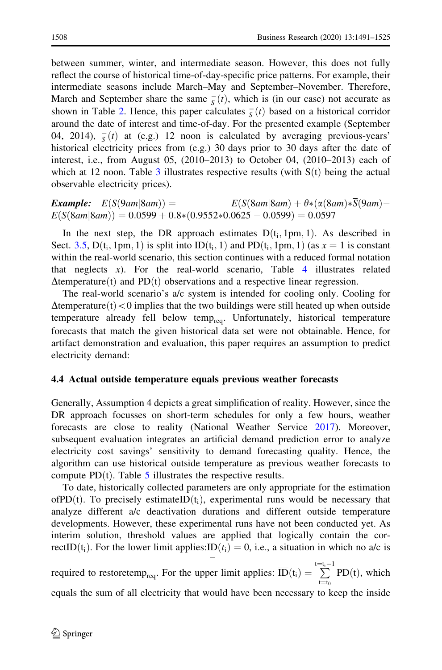between summer, winter, and intermediate season. However, this does not fully reflect the course of historical time-of-day-specific price patterns. For example, their intermediate seasons include March–May and September–November. Therefore, March and September share the same  $\overline{s}(t)$ , which is (in our case) not accurate as shown in Table [2](#page-16-0). Hence, this paper calculates  $\overline{s}(t)$  based on a historical corridor around the date of interest and time-of-day. For the presented example (September 04, 2014),  $\overline{s}(t)$  at (e.g.) 12 noon is calculated by averaging previous-years' historical electricity prices from (e.g.) 30 days prior to 30 days after the date of interest, i.e., from August 05, (2010–2013) to October 04, (2010–2013) each of which at 12 noon. Table [3](#page-18-0) illustrates respective results (with  $S(t)$  being the actual observable electricity prices).

**Example:**  $E(S(9am|8am)) = E(S(8am|8am) + \theta * (\alpha(8am) * \overline{S}(9am) E(S(8am|8am)) = 0.0599 + 0.8*(0.9552*0.0625 - 0.0599) = 0.0597$ 

In the next step, the DR approach estimates  $D(t_i, 1pm, 1)$ . As described in Sect. [3.5,](#page-11-0)  $D(t_i, 1pm, 1)$  is split into  $ID(t_i, 1)$  and  $PD(t_i, 1pm, 1)$  (as  $x = 1$  is constant within the real-world scenario, this section continues with a reduced formal notation that neglects  $x$ ). For the real-world scenario, Table [4](#page-18-0) illustrates related  $\Delta$ temperature $(t)$  and PD $(t)$  observations and a respective linear regression.

The real-world scenario's a/c system is intended for cooling only. Cooling for  $\Delta$ temperature $(t)$  < 0 implies that the two buildings were still heated up when outside temperature already fell below temp<sub>req</sub>. Unfortunately, historical temperature forecasts that match the given historical data set were not obtainable. Hence, for artifact demonstration and evaluation, this paper requires an assumption to predict electricity demand:

## 4.4 Actual outside temperature equals previous weather forecasts

Generally, Assumption 4 depicts a great simplification of reality. However, since the DR approach focusses on short-term schedules for only a few hours, weather forecasts are close to reality (National Weather Service [2017](#page-33-0)). Moreover, subsequent evaluation integrates an artificial demand prediction error to analyze electricity cost savings' sensitivity to demand forecasting quality. Hence, the algorithm can use historical outside temperature as previous weather forecasts to compute PD $(t)$ . Table [5](#page-19-0) illustrates the respective results.

To date, historically collected parameters are only appropriate for the estimation ofPD $(t)$ . To precisely estimateID $(t_i)$ , experimental runs would be necessary that analyze different a/c deactivation durations and different outside temperature developments. However, these experimental runs have not been conducted yet. As interim solution, threshold values are applied that logically contain the correctID(t<sub>i</sub>). For the lower limit applies:ID(t<sub>i</sub>) = 0, i.e., a situation in which no a/c is

required to restoretemp<sub>req</sub>. For the upper limit applies:  $\overline{ID}(t_i) = \sum_{i=t_i-1}^{t=t_i-1}$  $t = t_0$  $PD(t)$ , which equals the sum of all electricity that would have been necessary to keep the inside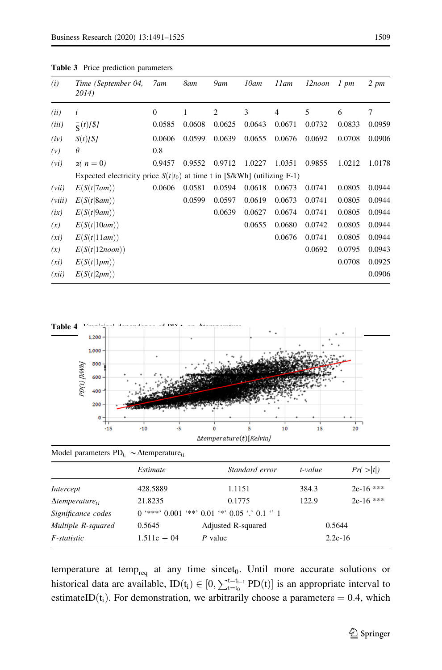| (i)    | Time (September 04,<br>2014)                                                | 7am      | 8am    | $9$ am         | 10am   | $11$ am        | $12$ noon | $1 \, \text{pm}$ | $2 \, pm$ |
|--------|-----------------------------------------------------------------------------|----------|--------|----------------|--------|----------------|-----------|------------------|-----------|
| (ii)   | i                                                                           | $\Omega$ | 1      | $\overline{c}$ | 3      | $\overline{4}$ | 5         | 6                | 7         |
| (iii)  | $\overline{S}(t)/\sqrt{S}$                                                  | 0.0585   | 0.0608 | 0.0625         | 0.0643 | 0.0671         | 0.0732    | 0.0833           | 0.0959    |
| (iv)   | S(t)/S                                                                      | 0.0606   | 0.0599 | 0.0639         | 0.0655 | 0.0676         | 0.0692    | 0.0708           | 0.0906    |
| (v)    | $\theta$                                                                    | 0.8      |        |                |        |                |           |                  |           |
| (vi)   | $\alpha(n=0)$                                                               | 0.9457   | 0.9552 | 0.9712         | 1.0227 | 1.0351         | 0.9855    | 1.0212           | 1.0178    |
|        | Expected electricity price $S(t t_0)$ at time t in [\$/kWh] (utilizing F-1) |          |        |                |        |                |           |                  |           |
| (vii)  | E(S(t 7am))                                                                 | 0.0606   | 0.0581 | 0.0594         | 0.0618 | 0.0673         | 0.0741    | 0.0805           | 0.0944    |
| (viii) | E(S(t 8am))                                                                 |          | 0.0599 | 0.0597         | 0.0619 | 0.0673         | 0.0741    | 0.0805           | 0.0944    |
| (ix)   | E(S(t 9am))                                                                 |          |        | 0.0639         | 0.0627 | 0.0674         | 0.0741    | 0.0805           | 0.0944    |
| (x)    | E(S(t 10am))                                                                |          |        |                | 0.0655 | 0.0680         | 0.0742    | 0.0805           | 0.0944    |
| (xi)   | E(S(t 11am))                                                                |          |        |                |        | 0.0676         | 0.0741    | 0.0805           | 0.0944    |
| (x)    | E(S(t 12noon))                                                              |          |        |                |        |                | 0.0692    | 0.0795           | 0.0943    |
| (xi)   | E(S(t 1pm))                                                                 |          |        |                |        |                |           | 0.0708           | 0.0925    |
| (xii)  | E(S(t 2pm))                                                                 |          |        |                |        |                |           |                  | 0.0906    |

<span id="page-18-0"></span>Table 3 Price prediction parameters



#### Model parameters  $PD_{t_i} \sim \Delta$ temperature<sub>ti</sub>

|                                    | Estimate      | Standard error                                          | t-value | $Pr(>= t )$ |
|------------------------------------|---------------|---------------------------------------------------------|---------|-------------|
| Intercept                          | 428.5889      | 1.1151                                                  | 384.3   | $2e-16$ *** |
| $\Delta$ temperature <sub>ti</sub> | 21.8235       | 0.1775                                                  | 122.9   | $2e-16$ *** |
| Significance codes                 |               | $0$ '***' $0.001$ '**' $0.01$ '*' $0.05$ '.' $0.1$ '' 1 |         |             |
| Multiple R-squared                 | 0.5645        | <b>Adjusted R-squared</b>                               |         | 0.5644      |
| F-statistic                        | $1.511e + 04$ | P value                                                 |         | $2.2e-16$   |

temperature at temp<sub>req</sub> at any time sincet<sub>0</sub>. Until more accurate solutions or historical data are available,  $ID(t_i) \in [0, \sum_{t=t_0}^{t=t_{i-1}} PD(t)]$  is an appropriate interval to estimateID(t<sub>i</sub>). For demonstration, we arbitrarily choose a parameter $\varepsilon = 0.4$ , which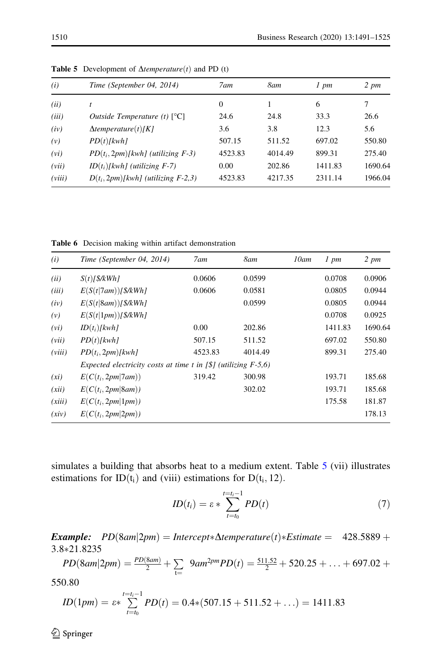<span id="page-19-0"></span>

| l0 |  |  |
|----|--|--|
|    |  |  |

| (i)    | Time (September 04, 2014)             | 7am      | 8am     | $1 \, pm$ | $2 \, pm$ |
|--------|---------------------------------------|----------|---------|-----------|-----------|
| (ii)   | t                                     | $\Omega$ | 1       | 6         | 7         |
| (iii)  | Outside Temperature (t) $[°C]$        | 24.6     | 24.8    | 33.3      | 26.6      |
| (iv)   | $\Delta$ temperature(t)[K]            | 3.6      | 3.8     | 12.3      | 5.6       |
| (v)    | PD(t)/kwh                             | 507.15   | 511.52  | 697.02    | 550.80    |
| (vi)   | $PD(t_i, 2pm)/kwh$ (utilizing F-3)    | 4523.83  | 4014.49 | 899.31    | 275.40    |
| (vii)  | $ID(t_i)/kwh$ (utilizing F-7)         | 0.00     | 202.86  | 1411.83   | 1690.64   |
| (viii) | $D(t_i, 2pm)$ [kwh] (utilizing F-2,3) | 4523.83  | 4217.35 | 2311.14   | 1966.04   |

**Table 5** Development of  $\Delta$ temperature(t) and PD (t)

Table 6 Decision making within artifact demonstration

| (i)    | Time (September 04, 2014)                                                             | 7am     | 8am     | 10am | $1 \, pm$ | $2 \, pm$ |
|--------|---------------------------------------------------------------------------------------|---------|---------|------|-----------|-----------|
| (ii)   | $S(t)/\frac{8}{kWh}$                                                                  | 0.0606  | 0.0599  |      | 0.0708    | 0.0906    |
| (iii)  | $E(S(t 7am))$ [\$/kWh]                                                                | 0.0606  | 0.0581  |      | 0.0805    | 0.0944    |
| (iv)   | $E(S(t 8am))$ [\$/kWh]                                                                |         | 0.0599  |      | 0.0805    | 0.0944    |
| (v)    | $E(S(t 1pm))$ [\$/kWh]                                                                |         |         |      | 0.0708    | 0.0925    |
| (vi)   | $ID(t_i)/kwh$                                                                         | 0.00    | 202.86  |      | 1411.83   | 1690.64   |
| (vii)  | PD(t)/kwh                                                                             | 507.15  | 511.52  |      | 697.02    | 550.80    |
| (viii) | $PD(t_i, 2pm)$ [kwh]                                                                  | 4523.83 | 4014.49 |      | 899.31    | 275.40    |
|        | Expected electricity costs at time t in $\lceil \frac{6}{5} \rceil$ (utilizing F-5,6) |         |         |      |           |           |
| (xi)   | $E(C(t_i, 2pm 7am))$                                                                  | 319.42  | 300.98  |      | 193.71    | 185.68    |
| (xii)  | $E(C(t_i, 2pm 8am))$                                                                  |         | 302.02  |      | 193.71    | 185.68    |
| (xiii) | $E(C(t_i, 2pm 1pm))$                                                                  |         |         |      | 175.58    | 181.87    |
| (xiv)  | $E(C(t_i, 2pm 2pm))$                                                                  |         |         |      |           | 178.13    |

simulates a building that absorbs heat to a medium extent. Table 5 (vii) illustrates estimations for ID $(t_i)$  and (viii) estimations for D $(t_i, 12)$ .

$$
ID(t_i) = \varepsilon * \sum_{t=t_0}^{t=t_i-1} PD(t)
$$
\n(7)

**Example:**  $PD(8am|2pm) = Intercept * \Delta temperature(t) * Estimate = 428.5889 +$ 3:821:8235

$$
PD(8am|2pm) = \frac{PD(8am)}{2} + \sum_{t=1}^{PD(8am)} 9am^{2pm}PD(t) = \frac{511.52}{2} + 520.25 + \ldots + 697.02 +
$$

550:80

$$
ID(1pm) = \varepsilon * \sum_{t=t_0}^{t=t_0-1} PD(t) = 0.4*(507.15 + 511.52 + ...) = 1411.83
$$

2 Springer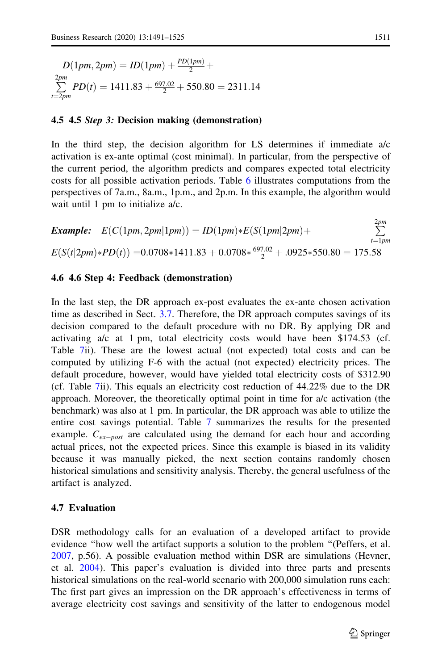$$
D(1pm, 2pm) = ID(1pm) + \frac{PD(1pm)}{2} +
$$
  

$$
\sum_{t=2pm}^{2pm} PD(t) = 1411.83 + \frac{697.02}{2} + 550.80 = 2311.14
$$

#### 4.5 4.5 Step 3: Decision making (demonstration)

In the third step, the decision algorithm for LS determines if immediate  $a/c$ activation is ex-ante optimal (cost minimal). In particular, from the perspective of the current period, the algorithm predicts and compares expected total electricity costs for all possible activation periods. Table [6](#page-19-0) illustrates computations from the perspectives of 7a.m., 8a.m., 1p.m., and 2p.m. In this example, the algorithm would wait until 1 pm to initialize a/c.

**Example:** 
$$
E(C(1pm, 2pm|1pm)) = ID(1pm)*E(S(1pm|2pm)+
$$
  
\n $E(S(t|2pm)*PD(t)) = 0.0708*1411.83 + 0.0708*\frac{697.02}{2} + .0925*550.80 = 175.58$ 

#### 4.6 4.6 Step 4: Feedback (demonstration)

In the last step, the DR approach ex-post evaluates the ex-ante chosen activation time as described in Sect. [3.7.](#page-13-0) Therefore, the DR approach computes savings of its decision compared to the default procedure with no DR. By applying DR and activating a/c at 1 pm, total electricity costs would have been \$174.53 (cf. Table [7](#page-21-0)ii). These are the lowest actual (not expected) total costs and can be computed by utilizing F-6 with the actual (not expected) electricity prices. The default procedure, however, would have yielded total electricity costs of \$312.90 (cf. Table [7i](#page-21-0)i). This equals an electricity cost reduction of 44.22% due to the DR approach. Moreover, the theoretically optimal point in time for a/c activation (the benchmark) was also at 1 pm. In particular, the DR approach was able to utilize the entire cost savings potential. Table [7](#page-21-0) summarizes the results for the presented example.  $C_{ex-post}$  are calculated using the demand for each hour and according actual prices, not the expected prices. Since this example is biased in its validity because it was manually picked, the next section contains randomly chosen historical simulations and sensitivity analysis. Thereby, the general usefulness of the artifact is analyzed.

## 4.7 Evaluation

DSR methodology calls for an evaluation of a developed artifact to provide evidence ''how well the artifact supports a solution to the problem ''(Peffers, et al. [2007,](#page-33-0) p.56). A possible evaluation method within DSR are simulations (Hevner, et al. [2004](#page-32-0)). This paper's evaluation is divided into three parts and presents historical simulations on the real-world scenario with 200,000 simulation runs each: The first part gives an impression on the DR approach's effectiveness in terms of average electricity cost savings and sensitivity of the latter to endogenous model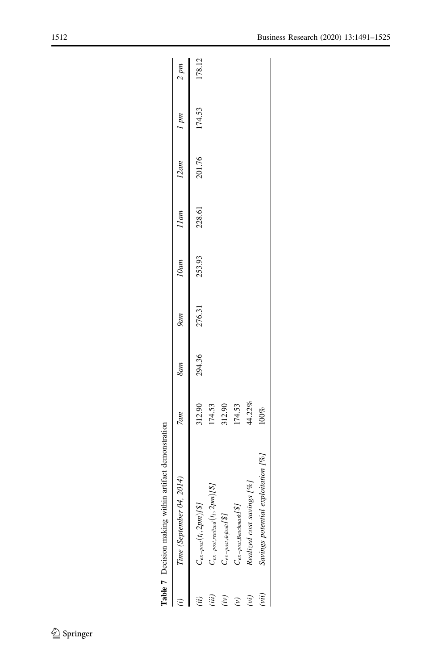|                    | ١           |
|--------------------|-------------|
|                    |             |
|                    | ¢           |
|                    | ¢           |
|                    |             |
|                    | l           |
|                    | .<br>.<br>. |
|                    |             |
|                    | j           |
|                    |             |
| Ï                  | į           |
| י<br>י<br>Feb<br>Ę |             |

<span id="page-21-0"></span>

|                                                    | The community of the community of the community of the community of the community of the community of the community of the community of the community of the community of the community of the community of the community of t |        |        |        |        |        |        |        |           |
|----------------------------------------------------|--------------------------------------------------------------------------------------------------------------------------------------------------------------------------------------------------------------------------------|--------|--------|--------|--------|--------|--------|--------|-----------|
|                                                    | Time (September 04, 2014)                                                                                                                                                                                                      | 7am    | $8$ am | 9am    | 10am   | Ilam   | 12am   | $1$ pm | $2 \, pm$ |
|                                                    | $C_{ex-post}(t_i, 2pm)[S]$                                                                                                                                                                                                     | 312.90 | 294.36 | 276.31 | 253.93 | 228.61 | 201.76 | 174.53 | 178.12    |
| (iii)                                              | $C_{ex-post, realized}(t_i, 2pm)[\text{\textit{S}}]$                                                                                                                                                                           | 174.53 |        |        |        |        |        |        |           |
| $\left(\ddot{i}\right)$                            | $C_{ex-post, default}$ [\$]                                                                                                                                                                                                    | 312.90 |        |        |        |        |        |        |           |
| Ξ                                                  | $C_{ex-post,Benelmark}[S]$                                                                                                                                                                                                     | 174.53 |        |        |        |        |        |        |           |
| $\left( \begin{matrix} 2 \ 1 \end{matrix} \right)$ | Realized cost savings [%]                                                                                                                                                                                                      | 44.22% |        |        |        |        |        |        |           |
| (iii)                                              | exploitation [%]<br>Savings potential                                                                                                                                                                                          | 100%   |        |        |        |        |        |        |           |
|                                                    |                                                                                                                                                                                                                                |        |        |        |        |        |        |        |           |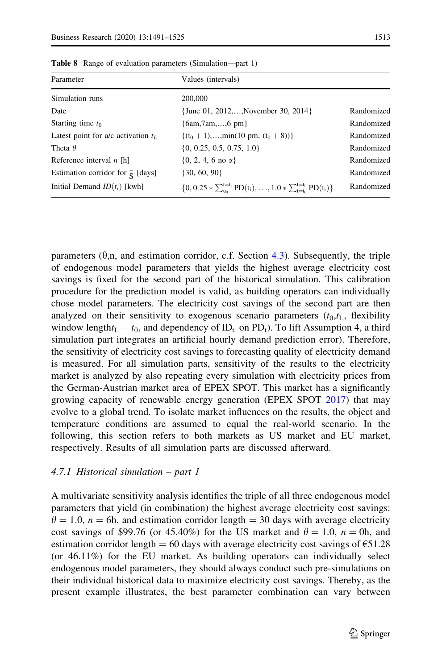| Parameter                                    | Values (intervals)                                                                                                  |            |
|----------------------------------------------|---------------------------------------------------------------------------------------------------------------------|------------|
| Simulation runs                              | 200,000                                                                                                             |            |
| Date                                         | {June 01, 2012,, November 30, 2014}                                                                                 | Randomized |
| Starting time $t_0$                          | ${6am, 7am,,6 pm}$                                                                                                  | Randomized |
| Latest point for a/c activation $t_L$        | $\{(t_0 + 1), \ldots, \text{min}(10 \text{ pm}, (t_0 + 8))\}$                                                       | Randomized |
| Theta $\theta$                               | $\{0, 0.25, 0.5, 0.75, 1.0\}$                                                                                       | Randomized |
| Reference interval $n$ [h]                   | $\{0, 2, 4, 6 \text{ no } \alpha\}$                                                                                 | Randomized |
| Estimation corridor for $\frac{1}{S}$ [days] | $\{30, 60, 90\}$                                                                                                    | Randomized |
| Initial Demand $ID(t_i)$ [kwh]               | $\{0, 0.25 * \sum_{\text{the}}^{\text{t=t_i}} PD(t_i), \ldots, 1.0 * \sum_{\text{t=t_0}}^{\text{t=t_i}} PD(t_i)\}\$ | Randomized |

<span id="page-22-0"></span>Table 8 Range of evaluation parameters (Simulation—part 1)

parameters  $(\theta, n)$ , and estimation corridor, c.f. Section [4.3\)](#page-15-0). Subsequently, the triple of endogenous model parameters that yields the highest average electricity cost savings is fixed for the second part of the historical simulation. This calibration procedure for the prediction model is valid, as building operators can individually chose model parameters. The electricity cost savings of the second part are then analyzed on their sensitivity to exogenous scenario parameters  $(t_0, t_L,$  flexibility window length $t_L - t_0$ , and dependency of ID<sub>ti</sub> on PD<sub>t</sub>). To lift Assumption 4, a third simulation part integrates an artificial hourly demand prediction error). Therefore, the sensitivity of electricity cost savings to forecasting quality of electricity demand is measured. For all simulation parts, sensitivity of the results to the electricity market is analyzed by also repeating every simulation with electricity prices from the German-Austrian market area of EPEX SPOT. This market has a significantly growing capacity of renewable energy generation (EPEX SPOT [2017](#page-32-0)) that may evolve to a global trend. To isolate market influences on the results, the object and temperature conditions are assumed to equal the real-world scenario. In the following, this section refers to both markets as US market and EU market, respectively. Results of all simulation parts are discussed afterward.

#### 4.7.1 Historical simulation – part 1

A multivariate sensitivity analysis identifies the triple of all three endogenous model parameters that yield (in combination) the highest average electricity cost savings:  $\theta = 1.0$ ,  $n = 6h$ , and estimation corridor length = 30 days with average electricity cost savings of \$99.76 (or 45.40%) for the US market and  $\theta = 1.0$ ,  $n = 0$ h, and estimation corridor length  $= 60$  days with average electricity cost savings of  $\epsilon$ 51.28 (or 46.11%) for the EU market. As building operators can individually select endogenous model parameters, they should always conduct such pre-simulations on their individual historical data to maximize electricity cost savings. Thereby, as the present example illustrates, the best parameter combination can vary between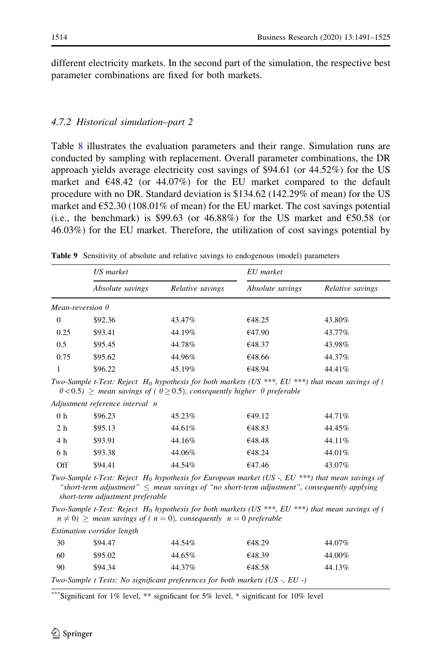<span id="page-23-0"></span>different electricity markets. In the second part of the simulation, the respective best parameter combinations are fixed for both markets.

#### 4.7.2 Historical simulation–part 2

Table [8](#page-22-0) illustrates the evaluation parameters and their range. Simulation runs are conducted by sampling with replacement. Overall parameter combinations, the DR approach yields average electricity cost savings of \$94.61 (or 44.52%) for the US market and  $648.42$  (or  $44.07\%$ ) for the EU market compared to the default procedure with no DR. Standard deviation is \$134.62 (142.29% of mean) for the US market and  $\epsilon$ 52.30 (108.01% of mean) for the EU market. The cost savings potential (i.e., the benchmark) is \$99.63 (or 46.88%) for the US market and  $\epsilon$ 50.58 (or 46.03%) for the EU market. Therefore, the utilization of cost savings potential by

|                         | US market        |                  | EU market        |                  |
|-------------------------|------------------|------------------|------------------|------------------|
|                         | Absolute savings | Relative savings | Absolute savings | Relative savings |
| Mean-reversion $\theta$ |                  |                  |                  |                  |
| $\Omega$                | \$92.36          | 43.47%           | €48.25           | 43.80%           |
| 0.25                    | \$93.41          | 44.19%           | €47.90           | 43.77%           |
| 0.5                     | \$95.45          | 44.78%           | €48.37           | 43.98%           |
| 0.75                    | \$95.62          | 44.96%           | €48.66           | 44.37%           |
|                         | \$96.22          | 45.19%           | €48.94           | 44.41%           |

Table 9 Sensitivity of absolute and relative savings to endogenous (model) parameters

Two-Sample t-Test: Reject  $H_0$  hypothesis for both markets (US \*\*\*, EU \*\*\*) that mean savings of (  $\theta$ <0.5)  $\geq$  mean savings of (  $\theta \geq 0.5$ ), consequently higher  $\theta$  preferable

Adjustment reference interval n

| \$96.23<br>45.23%<br>649.12<br>0 <sub>h</sub> | 44.71% |
|-----------------------------------------------|--------|
| \$95.13<br>648.83<br>44.61%<br>2 h            | 44.45% |
| \$93.91<br>648.48<br>44.16%<br>4 h            | 44.11% |
| \$93.38<br>44.06%<br>648.24<br>6 h            | 44.01% |
| Off<br>\$94.41<br>44.54%<br>647.46            | 43.07% |

Two-Sample t-Test: Reject  $H_0$  hypothesis for European market (US -, EU \*\*\*) that mean savings of "short-term adjustment"  $\leq$  mean savings of "no short-term adjustment", consequently applying short-term adjustment preferable

Two-Sample t-Test: Reject  $H_0$  hypothesis for both markets (US \*\*\*, EU \*\*\*) that mean savings of (  $n \neq 0$ )  $\geq$  mean savings of (  $n = 0$ ), consequently  $n = 0$  preferable

|    | Estimation corridor length |                                                                              |        |        |
|----|----------------------------|------------------------------------------------------------------------------|--------|--------|
| 30 | \$94.47                    | 44.54%                                                                       | €48.29 | 44.07% |
| 60 | \$95.02                    | 44.65%                                                                       | €48.39 | 44.00% |
| 90 | \$94.34                    | 44.37%                                                                       | 648.58 | 44.13% |
|    |                            | Two-Sample t Tests: No significant preferences for both markets (US -, EU -) |        |        |

 $*$ Significant for 1% level, \*\* significant for 5% level, \* significant for 10% level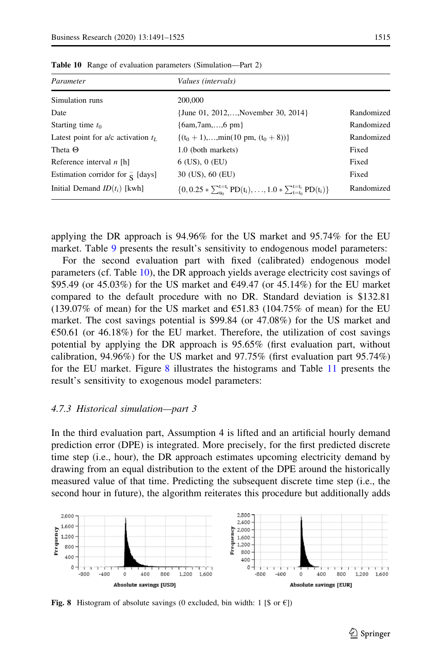| Parameter                                        | Values (intervals)                                                                      |            |  |
|--------------------------------------------------|-----------------------------------------------------------------------------------------|------------|--|
| Simulation runs                                  | 200,000                                                                                 |            |  |
| Date                                             | {June 01, 2012,, November 30, 2014}                                                     | Randomized |  |
| Starting time $t_0$                              | ${6am,7am,,6pm}$                                                                        | Randomized |  |
| Latest point for a/c activation $t_L$            | $\{(t_0+1), \ldots, \text{min}(10 \text{ pm}, (t_0+8))\}$                               | Randomized |  |
| Theta $\Theta$                                   | 1.0 (both markets)                                                                      | Fixed      |  |
| Reference interval $n$ [h]                       | $6$ (US), $0$ (EU)                                                                      | Fixed      |  |
| Estimation corridor for $\bar{\varsigma}$ [days] | 30 (US), 60 (EU)                                                                        | Fixed      |  |
| Initial Demand $ID(t_i)$ [kwh]                   | $\{0, 0.25 * \sum_{u_0}^{t=t_i} PD(t_i), \ldots, 1.0 * \sum_{t=t_0}^{t=t_i} PD(t_i)\}\$ | Randomized |  |

Table 10 Range of evaluation parameters (Simulation—Part 2)

applying the DR approach is 94.96% for the US market and 95.74% for the EU market. Table [9](#page-23-0) presents the result's sensitivity to endogenous model parameters:

For the second evaluation part with fixed (calibrated) endogenous model parameters (cf. Table 10), the DR approach yields average electricity cost savings of \$95.49 (or 45.03%) for the US market and €49.47 (or 45.14%) for the EU market compared to the default procedure with no DR. Standard deviation is \$132.81  $(139.07\%$  of mean) for the US market and  $651.83$   $(104.75\%$  of mean) for the EU market. The cost savings potential is \$99.84 (or 47.08%) for the US market and €50.61 (or 46.18%) for the EU market. Therefore, the utilization of cost savings potential by applying the DR approach is 95.65% (first evaluation part, without calibration, 94.96%) for the US market and 97.75% (first evaluation part 95.74%) for the EU market. Figure 8 illustrates the histograms and Table [11](#page-25-0) presents the result's sensitivity to exogenous model parameters:

#### 4.7.3 Historical simulation—part 3

In the third evaluation part, Assumption 4 is lifted and an artificial hourly demand prediction error (DPE) is integrated. More precisely, for the first predicted discrete time step (i.e., hour), the DR approach estimates upcoming electricity demand by drawing from an equal distribution to the extent of the DPE around the historically measured value of that time. Predicting the subsequent discrete time step (i.e., the second hour in future), the algorithm reiterates this procedure but additionally adds



Fig. 8 Histogram of absolute savings (0 excluded, bin width: 1 [\$ or  $\epsilon$ ])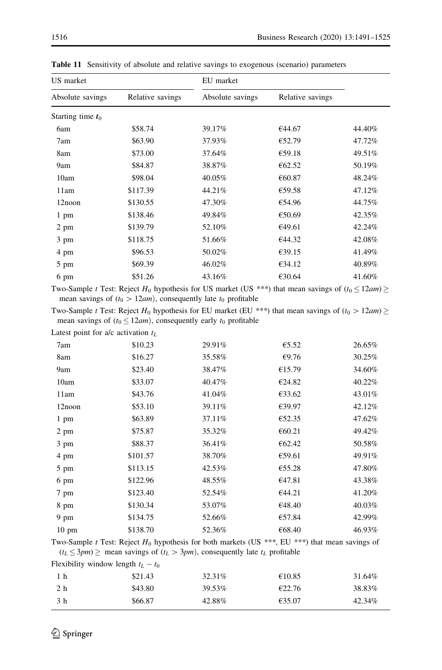| US market           |                  | EU market        |                  |        |
|---------------------|------------------|------------------|------------------|--------|
| Absolute savings    | Relative savings | Absolute savings | Relative savings |        |
| Starting time $t_0$ |                  |                  |                  |        |
| 6am                 | \$58.74          | 39.17%           | €44.67           | 44.40% |
| 7am                 | \$63.90          | 37.93%           | €52.79           | 47.72% |
| 8am                 | \$73.00          | 37.64%           | €59.18           | 49.51% |
| 9am                 | \$84.87          | 38.87%           | €62.52           | 50.19% |
| 10am                | \$98.04          | 40.05%           | €60.87           | 48.24% |
| 11am                | \$117.39         | 44.21%           | €59.58           | 47.12% |
| 12noon              | \$130.55         | 47.30%           | €54.96           | 44.75% |
| 1 pm                | \$138.46         | 49.84%           | €50.69           | 42.35% |
| 2 pm                | \$139.79         | 52.10%           | €49.61           | 42.24% |
| 3 pm                | \$118.75         | 51.66%           | €44.32           | 42.08% |
| 4 pm                | \$96.53          | 50.02%           | €39.15           | 41.49% |
| 5 pm                | \$69.39          | 46.02%           | €34.12           | 40.89% |
| 6 pm                | \$51.26          | 43.16%           | €30.64           | 41.60% |

<span id="page-25-0"></span>Table 11 Sensitivity of absolute and relative savings to exogenous (scenario) parameters

Two-Sample t Test: Reject H<sub>0</sub> hypothesis for US market (US \*\*\*) that mean savings of  $(t_0 \le 12am) \ge$ mean savings of  $(t_0 > 12am)$ , consequently late  $t_0$  profitable

Two-Sample t Test: Reject  $H_0$  hypothesis for EU market (EU \*\*\*) that mean savings of  $(t_0 > 12am) \ge$ mean savings of  $(t_0 \leq 12am)$ , consequently early  $t_0$  profitable

| Latest point for a/c activation $t_L$ |          |        |        |        |
|---------------------------------------|----------|--------|--------|--------|
| 7am                                   | \$10.23  | 29.91% | €5.52  | 26.65% |
| 8am                                   | \$16.27  | 35.58% | €9.76  | 30.25% |
| 9am                                   | \$23.40  | 38.47% | €15.79 | 34.60% |
| 10am                                  | \$33.07  | 40.47% | €24.82 | 40.22% |
| 11am                                  | \$43.76  | 41.04% | €33.62 | 43.01% |
| $12$ noon                             | \$53.10  | 39.11% | €39.97 | 42.12% |
| 1 pm                                  | \$63.89  | 37.11% | €52.35 | 47.62% |
| 2 pm                                  | \$75.87  | 35.32% | €60.21 | 49.42% |
| 3 pm                                  | \$88.37  | 36.41% | €62.42 | 50.58% |
| 4 pm                                  | \$101.57 | 38.70% | €59.61 | 49.91% |
| 5 pm                                  | \$113.15 | 42.53% | €55.28 | 47.80% |
| 6 pm                                  | \$122.96 | 48.55% | €47.81 | 43.38% |
| 7 pm                                  | \$123.40 | 52.54% | €44.21 | 41.20% |
| 8 pm                                  | \$130.34 | 53.07% | €48.40 | 40.03% |
| 9 pm                                  | \$134.75 | 52.66% | €57.84 | 42.99% |
| $10 \text{ pm}$                       | \$138.70 | 52.36% | €68.40 | 46.93% |
|                                       |          |        |        |        |

Two-Sample t Test: Reject  $H_0$  hypothesis for both markets (US \*\*\*, EU \*\*\*) that mean savings of  $(t_L \leq 3pm) \geq$  mean savings of  $(t_L > 3pm)$ , consequently late  $t_L$  profitable

Flexibility window length  $t_L - t_0$ 

| 1 h | \$21.43 | 32.31% | €10.85 | 31.64% |
|-----|---------|--------|--------|--------|
| 2 h | \$43.80 | 39.53% | €22.76 | 38.83% |
| 3 h | \$66.87 | 42.88% | €35.07 | 42.34% |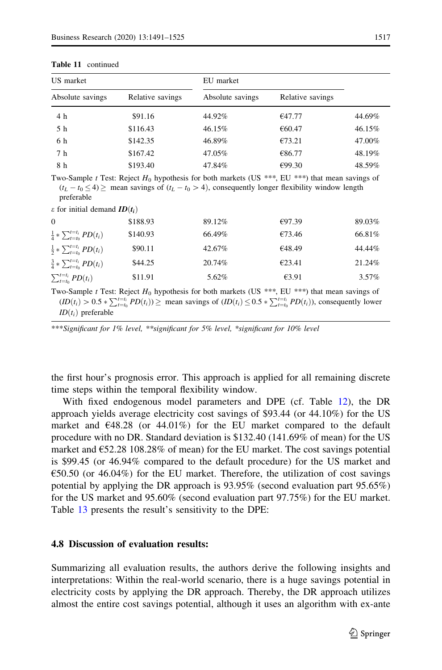| US market        |                  | EU market        |                  |        |
|------------------|------------------|------------------|------------------|--------|
| Absolute savings | Relative savings | Absolute savings | Relative savings |        |
| 4 h              | \$91.16          | 44.92%           | €47.77           | 44.69% |
| 5 h              | \$116.43         | 46.15%           | €60.47           | 46.15% |
| 6 h              | \$142.35         | 46.89%           | €73.21           | 47.00% |
| 7 h              | \$167.42         | 47.05%           | €86.77           | 48.19% |
| 8 h              | \$193.40         | 47.84%           | €99.30           | 48.59% |

Table 11 continued

Two-Sample t Test: Reject  $H_0$  hypothesis for both markets (US \*\*\*, EU \*\*\*) that mean savings of  $(t_L - t_0 < 4)$  mean savings of  $(t_L - t_0 > 4)$ , consequently longer flexibility window length preferable

 $\epsilon$  for initial demand  $ID(t_i)$ 

| $\theta$                                     | \$188.93 | 89.12% | E97.39 | 89.03%   |
|----------------------------------------------|----------|--------|--------|----------|
| $\frac{1}{4} * \sum_{t=t_0}^{t=t_i} PD(t_i)$ | \$140.93 | 66.49% | €73.46 | 66.81%   |
| $\frac{1}{2} * \sum_{t=t_0}^{t=t_i} PD(t_i)$ | \$90.11  | 42.67% | 648.49 | 44.44%   |
| $rac{3}{4} * \sum_{t=t_0}^{t=t_i} PD(t_i)$   | \$44.25  | 20.74% | £23.41 | 21.24%   |
| $\sum_{t=t_0}^{t=t_i} PD(t_i)$               | \$11.91  | 5.62%  | £3.91  | $3.57\%$ |
|                                              |          |        |        |          |

Two-Sample t Test: Reject  $H_0$  hypothesis for both markets (US \*\*\*, EU \*\*\*) that mean savings of  $(ID(t_i) > 0.5 * \sum_{t=t_0}^{t=t_i} PD(t_i)) \ge$  mean savings of  $(ID(t_i) \le 0.5 * \sum_{t=t_0}^{t=t_i} PD(t_i))$ , consequently lower  $ID(t_i)$  preferable

\*\*\*Significant for 1% level, \*\*significant for 5% level, \*significant for 10% level

the first hour's prognosis error. This approach is applied for all remaining discrete time steps within the temporal flexibility window.

With fixed endogenous model parameters and DPE (cf. Table [12\)](#page-27-0), the DR approach yields average electricity cost savings of \$93.44 (or 44.10%) for the US market and  $648.28$  (or  $44.01\%$ ) for the EU market compared to the default procedure with no DR. Standard deviation is \$132.40 (141.69% of mean) for the US market and €52.28 108.28% of mean) for the EU market. The cost savings potential is \$99.45 (or 46.94% compared to the default procedure) for the US market and  $\epsilon$ 50.50 (or 46.04%) for the EU market. Therefore, the utilization of cost savings potential by applying the DR approach is 93.95% (second evaluation part 95.65%) for the US market and 95.60% (second evaluation part 97.75%) for the EU market. Table [13](#page-28-0) presents the result's sensitivity to the DPE:

# 4.8 Discussion of evaluation results:

Summarizing all evaluation results, the authors derive the following insights and interpretations: Within the real-world scenario, there is a huge savings potential in electricity costs by applying the DR approach. Thereby, the DR approach utilizes almost the entire cost savings potential, although it uses an algorithm with ex-ante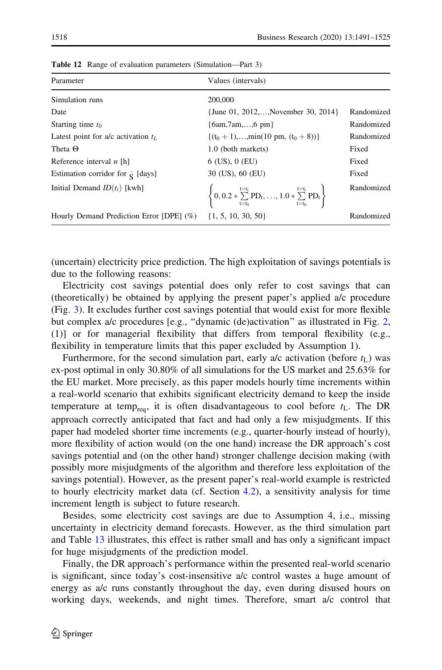| Parameter                                    | Values (intervals)                                                                       |            |
|----------------------------------------------|------------------------------------------------------------------------------------------|------------|
| Simulation runs                              | 200,000                                                                                  |            |
| Date                                         | {June 01, 2012,, November 30, 2014}                                                      | Randomized |
| Starting time $t_0$                          | ${6am, 7am, , 6pm}$                                                                      | Randomized |
| Latest point for a/c activation $t_I$        | $\{(t_0 + 1), \ldots, \text{min}(10 \text{ pm}, (t_0 + 8))\}$                            | Randomized |
| Theta $\Theta$                               | 1.0 (both markets)                                                                       | Fixed      |
| Reference interval $n$ [h]                   | $6$ (US), $0$ (EU)                                                                       | Fixed      |
| Estimation corridor for $\frac{1}{S}$ [days] | 30 (US), 60 (EU)                                                                         | Fixed      |
| Initial Demand $ID(t_i)$ [kwh]               | $\left\{0, 0.2*\sum_{t=t_0}^{t=t_i} PD_t, \ldots, 1.0*\sum_{t=t_0}^{t=t_i} PD_t\right\}$ | Randomized |
| Hourly Demand Prediction Error [DPE] (%)     | $\{1, 5, 10, 30, 50\}$                                                                   | Randomized |

<span id="page-27-0"></span>Table 12 Range of evaluation parameters (Simulation—Part 3)

(uncertain) electricity price prediction. The high exploitation of savings potentials is due to the following reasons:

Electricity cost savings potential does only refer to cost savings that can (theoretically) be obtained by applying the present paper's applied a/c procedure (Fig. [3](#page-9-0)). It excludes further cost savings potential that would exist for more flexible but complex a/c procedures [e.g., ''dynamic (de)activation'' as illustrated in Fig. [2,](#page-8-0) (1)] or for managerial flexibility that differs from temporal flexibility (e.g., flexibility in temperature limits that this paper excluded by Assumption 1).

Furthermore, for the second simulation part, early a/c activation (before  $t_L$ ) was ex-post optimal in only 30.80% of all simulations for the US market and 25.63% for the EU market. More precisely, as this paper models hourly time increments within a real-world scenario that exhibits significant electricity demand to keep the inside temperature at temp<sub>req</sub>, it is often disadvantageous to cool before  $t<sub>L</sub>$ . The DR approach correctly anticipated that fact and had only a few misjudgments. If this paper had modeled shorter time increments (e.g., quarter-hourly instead of hourly), more flexibility of action would (on the one hand) increase the DR approach's cost savings potential and (on the other hand) stronger challenge decision making (with possibly more misjudgments of the algorithm and therefore less exploitation of the savings potential). However, as the present paper's real-world example is restricted to hourly electricity market data (cf. Section [4.2](#page-15-0)), a sensitivity analysis for time increment length is subject to future research.

Besides, some electricity cost savings are due to Assumption 4, i.e., missing uncertainty in electricity demand forecasts. However, as the third simulation part and Table [13](#page-28-0) illustrates, this effect is rather small and has only a significant impact for huge misjudgments of the prediction model.

Finally, the DR approach's performance within the presented real-world scenario is significant, since today's cost-insensitive a/c control wastes a huge amount of energy as a/c runs constantly throughout the day, even during disused hours on working days, weekends, and night times. Therefore, smart a/c control that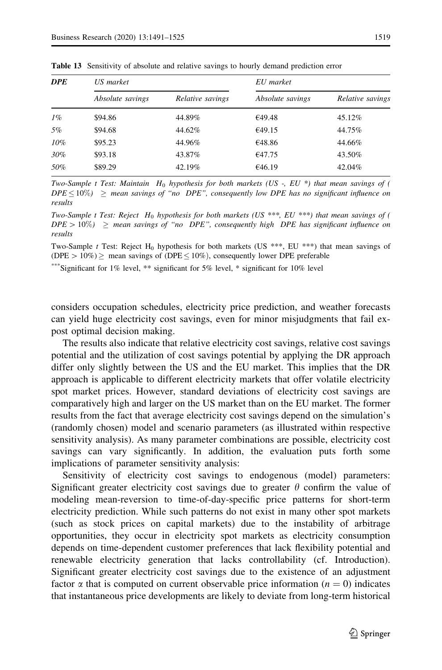| <b>DPE</b> | <b>US</b> market |                  | EU market               |                  |  |
|------------|------------------|------------------|-------------------------|------------------|--|
|            | Absolute savings | Relative savings | <i>Absolute savings</i> | Relative savings |  |
| $1\%$      | \$94.86          | 44.89%           | €49.48                  | 45.12%           |  |
| 5%         | \$94.68          | 44.62%           | €49.15                  | 44.75%           |  |
| $10\%$     | \$95.23          | 44.96%           | €48.86                  | 44.66%           |  |
| 30%        | \$93.18          | 43.87%           | €47.75                  | 43.50%           |  |
| 50%        | \$89.29          | 42.19%           | €46.19                  | 42.04%           |  |

<span id="page-28-0"></span>Table 13 Sensitivity of absolute and relative savings to hourly demand prediction error

Two-Sample t Test: Maintain  $H_0$  hypothesis for both markets (US -, EU  $*$ ) that mean savings of (  $DPE \leq 10\%$ )  $\geq$  mean savings of "no DPE", consequently low DPE has no significant influence on results

Two-Sample t Test: Reject  $H_0$  hypothesis for both markets (US \*\*\*, EU \*\*\*) that mean savings of (  $DPE > 10\%) \geq$  mean savings of "no DPE", consequently high DPE has significant influence on results

Two-Sample  $t$  Test: Reject H<sub>0</sub> hypothesis for both markets (US \*\*\*, EU \*\*\*) that mean savings of (DPE > 10%)  $\geq$  mean savings of (DPE  $\leq$  10%), consequently lower DPE preferable

\*\*\*Significant for 1% level, \*\* significant for 5% level, \* significant for 10% level

considers occupation schedules, electricity price prediction, and weather forecasts can yield huge electricity cost savings, even for minor misjudgments that fail expost optimal decision making.

The results also indicate that relative electricity cost savings, relative cost savings potential and the utilization of cost savings potential by applying the DR approach differ only slightly between the US and the EU market. This implies that the DR approach is applicable to different electricity markets that offer volatile electricity spot market prices. However, standard deviations of electricity cost savings are comparatively high and larger on the US market than on the EU market. The former results from the fact that average electricity cost savings depend on the simulation's (randomly chosen) model and scenario parameters (as illustrated within respective sensitivity analysis). As many parameter combinations are possible, electricity cost savings can vary significantly. In addition, the evaluation puts forth some implications of parameter sensitivity analysis:

Sensitivity of electricity cost savings to endogenous (model) parameters: Significant greater electricity cost savings due to greater  $\theta$  confirm the value of modeling mean-reversion to time-of-day-specific price patterns for short-term electricity prediction. While such patterns do not exist in many other spot markets (such as stock prices on capital markets) due to the instability of arbitrage opportunities, they occur in electricity spot markets as electricity consumption depends on time-dependent customer preferences that lack flexibility potential and renewable electricity generation that lacks controllability (cf. Introduction). Significant greater electricity cost savings due to the existence of an adjustment factor  $\alpha$  that is computed on current observable price information ( $n = 0$ ) indicates that instantaneous price developments are likely to deviate from long-term historical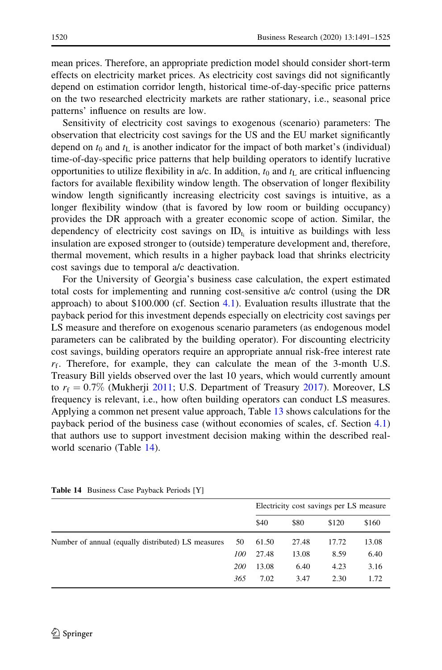mean prices. Therefore, an appropriate prediction model should consider short-term effects on electricity market prices. As electricity cost savings did not significantly depend on estimation corridor length, historical time-of-day-specific price patterns on the two researched electricity markets are rather stationary, i.e., seasonal price patterns' influence on results are low.

Sensitivity of electricity cost savings to exogenous (scenario) parameters: The observation that electricity cost savings for the US and the EU market significantly depend on  $t_0$  and  $t_L$  is another indicator for the impact of both market's (individual) time-of-day-specific price patterns that help building operators to identify lucrative opportunities to utilize flexibility in a/c. In addition,  $t_0$  and  $t<sub>L</sub>$  are critical influencing factors for available flexibility window length. The observation of longer flexibility window length significantly increasing electricity cost savings is intuitive, as a longer flexibility window (that is favored by low room or building occupancy) provides the DR approach with a greater economic scope of action. Similar, the dependency of electricity cost savings on  $ID_{t_i}$  is intuitive as buildings with less insulation are exposed stronger to (outside) temperature development and, therefore, thermal movement, which results in a higher payback load that shrinks electricity cost savings due to temporal a/c deactivation.

For the University of Georgia's business case calculation, the expert estimated total costs for implementing and running cost-sensitive a/c control (using the DR approach) to about \$100.000 (cf. Section [4.1](#page-13-0)). Evaluation results illustrate that the payback period for this investment depends especially on electricity cost savings per LS measure and therefore on exogenous scenario parameters (as endogenous model parameters can be calibrated by the building operator). For discounting electricity cost savings, building operators require an appropriate annual risk-free interest rate  $r_f$ . Therefore, for example, they can calculate the mean of the 3-month U.S. Treasury Bill yields observed over the last 10 years, which would currently amount to  $r_f = 0.7\%$  (Mukherji [2011;](#page-33-0) U.S. Department of Treasury [2017\)](#page-34-0). Moreover, LS frequency is relevant, i.e., how often building operators can conduct LS measures. Applying a common net present value approach, Table [13](#page-28-0) shows calculations for the payback period of the business case (without economies of scales, cf. Section [4.1\)](#page-13-0) that authors use to support investment decision making within the described realworld scenario (Table 14).

|                                                    |            | Electricity cost savings per LS measure |       |       |       |
|----------------------------------------------------|------------|-----------------------------------------|-------|-------|-------|
|                                                    |            | \$40                                    | \$80  | \$120 | \$160 |
| Number of annual (equally distributed) LS measures | 50         | 61.50                                   | 27.48 | 17.72 | 13.08 |
|                                                    | 100        | 27.48                                   | 13.08 | 8.59  | 6.40  |
|                                                    | <i>200</i> | 13.08                                   | 6.40  | 4.23  | 3.16  |
|                                                    | 365        | 7.02                                    | 3.47  | 2.30  | 1.72  |

Table 14 Business Case Payback Periods [Y]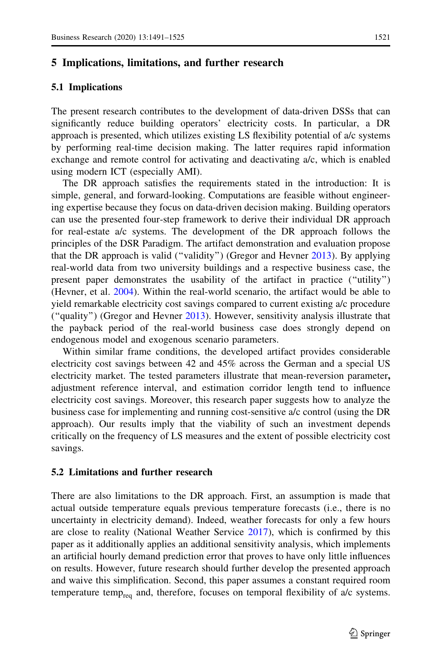## <span id="page-30-0"></span>5 Implications, limitations, and further research

#### 5.1 Implications

The present research contributes to the development of data-driven DSSs that can significantly reduce building operators' electricity costs. In particular, a DR approach is presented, which utilizes existing LS flexibility potential of a/c systems by performing real-time decision making. The latter requires rapid information exchange and remote control for activating and deactivating a/c, which is enabled using modern ICT (especially AMI).

The DR approach satisfies the requirements stated in the introduction: It is simple, general, and forward-looking. Computations are feasible without engineering expertise because they focus on data-driven decision making. Building operators can use the presented four-step framework to derive their individual DR approach for real-estate a/c systems. The development of the DR approach follows the principles of the DSR Paradigm. The artifact demonstration and evaluation propose that the DR approach is valid (''validity'') (Gregor and Hevner [2013\)](#page-32-0). By applying real-world data from two university buildings and a respective business case, the present paper demonstrates the usability of the artifact in practice (''utility'') (Hevner, et al. [2004\)](#page-32-0). Within the real-world scenario, the artifact would be able to yield remarkable electricity cost savings compared to current existing a/c procedure (''quality'') (Gregor and Hevner [2013](#page-32-0)). However, sensitivity analysis illustrate that the payback period of the real-world business case does strongly depend on endogenous model and exogenous scenario parameters.

Within similar frame conditions, the developed artifact provides considerable electricity cost savings between 42 and 45% across the German and a special US electricity market. The tested parameters illustrate that mean-reversion parameter, adjustment reference interval, and estimation corridor length tend to influence electricity cost savings. Moreover, this research paper suggests how to analyze the business case for implementing and running cost-sensitive a/c control (using the DR approach). Our results imply that the viability of such an investment depends critically on the frequency of LS measures and the extent of possible electricity cost savings.

## 5.2 Limitations and further research

There are also limitations to the DR approach. First, an assumption is made that actual outside temperature equals previous temperature forecasts (i.e., there is no uncertainty in electricity demand). Indeed, weather forecasts for only a few hours are close to reality (National Weather Service [2017\)](#page-33-0), which is confirmed by this paper as it additionally applies an additional sensitivity analysis, which implements an artificial hourly demand prediction error that proves to have only little influences on results. However, future research should further develop the presented approach and waive this simplification. Second, this paper assumes a constant required room temperature temp<sub>req</sub> and, therefore, focuses on temporal flexibility of  $a/c$  systems.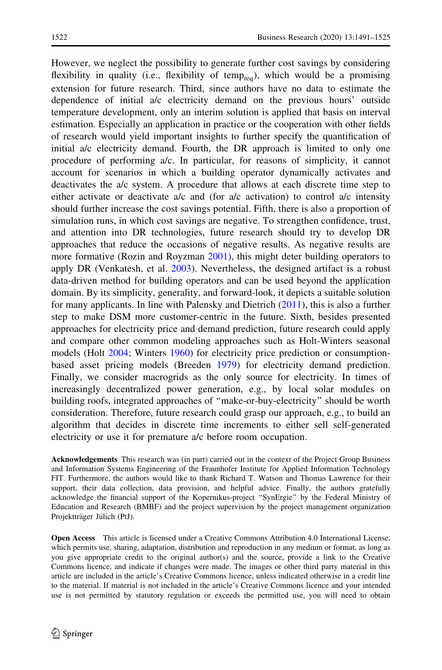However, we neglect the possibility to generate further cost savings by considering flexibility in quality (i.e., flexibility of temp<sub>req</sub>), which would be a promising extension for future research. Third, since authors have no data to estimate the dependence of initial a/c electricity demand on the previous hours' outside temperature development, only an interim solution is applied that basis on interval estimation. Especially an application in practice or the cooperation with other fields of research would yield important insights to further specify the quantification of initial a/c electricity demand. Fourth, the DR approach is limited to only one procedure of performing a/c. In particular, for reasons of simplicity, it cannot account for scenarios in which a building operator dynamically activates and deactivates the a/c system. A procedure that allows at each discrete time step to either activate or deactivate a/c and (for a/c activation) to control a/c intensity should further increase the cost savings potential. Fifth, there is also a proportion of simulation runs, in which cost savings are negative. To strengthen confidence, trust, and attention into DR technologies, future research should try to develop DR approaches that reduce the occasions of negative results. As negative results are more formative (Rozin and Royzman [2001\)](#page-33-0), this might deter building operators to apply DR (Venkatesh, et al. [2003](#page-34-0)). Nevertheless, the designed artifact is a robust data-driven method for building operators and can be used beyond the application domain. By its simplicity, generality, and forward-look, it depicts a suitable solution for many applicants. In line with Palensky and Dietrich [\(2011](#page-33-0)), this is also a further step to make DSM more customer-centric in the future. Sixth, besides presented approaches for electricity price and demand prediction, future research could apply and compare other common modeling approaches such as Holt-Winters seasonal models (Holt [2004;](#page-32-0) Winters [1960\)](#page-34-0) for electricity price prediction or consumptionbased asset pricing models (Breeden [1979\)](#page-32-0) for electricity demand prediction. Finally, we consider macrogrids as the only source for electricity. In times of increasingly decentralized power generation, e.g., by local solar modules on building roofs, integrated approaches of ''make-or-buy-electricity'' should be worth consideration. Therefore, future research could grasp our approach, e.g., to build an algorithm that decides in discrete time increments to either sell self-generated electricity or use it for premature a/c before room occupation.

Acknowledgements This research was (in part) carried out in the context of the Project Group Business and Information Systems Engineering of the Fraunhofer Institute for Applied Information Technology FIT. Furthermore, the authors would like to thank Richard T. Watson and Thomas Lawrence for their support, their data collection, data provision, and helpful advice. Finally, the authors gratefully acknowledge the financial support of the Kopernikus-project ''SynErgie'' by the Federal Ministry of Education and Research (BMBF) and the project supervision by the project management organization Projektträger Jülich (PtJ).

Open Access This article is licensed under a Creative Commons Attribution 4.0 International License, which permits use, sharing, adaptation, distribution and reproduction in any medium or format, as long as you give appropriate credit to the original author(s) and the source, provide a link to the Creative Commons licence, and indicate if changes were made. The images or other third party material in this article are included in the article's Creative Commons licence, unless indicated otherwise in a credit line to the material. If material is not included in the article's Creative Commons licence and your intended use is not permitted by statutory regulation or exceeds the permitted use, you will need to obtain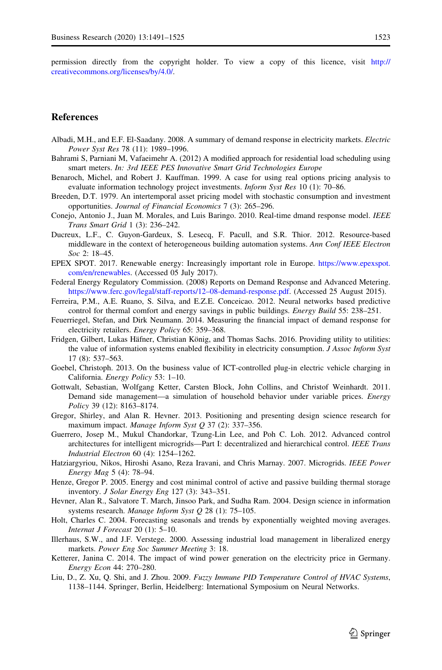<span id="page-32-0"></span>permission directly from the copyright holder. To view a copy of this licence, visit [http://](http://creativecommons.org/licenses/by/4.0/) [creativecommons.org/licenses/by/4.0/.](http://creativecommons.org/licenses/by/4.0/)

#### **References**

- Albadi, M.H., and E.F. El-Saadany. 2008. A summary of demand response in electricity markets. *Electric* Power Syst Res 78 (11): 1989–1996.
- Bahrami S, Parniani M, Vafaeimehr A. (2012) A modified approach for residential load scheduling using smart meters. In: 3rd IEEE PES Innovative Smart Grid Technologies Europe
- Benaroch, Michel, and Robert J. Kauffman. 1999. A case for using real options pricing analysis to evaluate information technology project investments. Inform Syst Res 10 (1): 70–86.
- Breeden, D.T. 1979. An intertemporal asset pricing model with stochastic consumption and investment opportunities. Journal of Financial Economics 7 (3): 265–296.
- Conejo, Antonio J., Juan M. Morales, and Luis Baringo. 2010. Real-time dmand response model. IEEE Trans Smart Grid 1 (3): 236–242.
- Ducreux, L.F., C. Guyon-Gardeux, S. Lesecq, F. Pacull, and S.R. Thior. 2012. Resource-based middleware in the context of heterogeneous building automation systems. Ann Conf IEEE Electron Soc 2: 18-45.
- EPEX SPOT. 2017. Renewable energy: Increasingly important role in Europe. [https://www.epexspot.](https://www.epexspot.com/en/renewables) [com/en/renewables.](https://www.epexspot.com/en/renewables) (Accessed 05 July 2017).
- Federal Energy Regulatory Commission. (2008) Reports on Demand Response and Advanced Metering. [https://www.ferc.gov/legal/staff-reports/12–08-demand-response.pdf.](https://www.ferc.gov/legal/staff-reports/12–�08-demand-response.pdf) (Accessed 25 August 2015).
- Ferreira, P.M., A.E. Ruano, S. Silva, and E.Z.E. Conceicao. 2012. Neural networks based predictive control for thermal comfort and energy savings in public buildings. Energy Build 55: 238–251.
- Feuerriegel, Stefan, and Dirk Neumann. 2014. Measuring the financial impact of demand response for electricity retailers. Energy Policy 65: 359–368.
- Fridgen, Gilbert, Lukas Häfner, Christian König, and Thomas Sachs. 2016. Providing utility to utilities: the value of information systems enabled flexibility in electricity consumption. J Assoc Inform Syst 17 (8): 537–563.
- Goebel, Christoph. 2013. On the business value of ICT-controlled plug-in electric vehicle charging in California. Energy Policy 53: 1–10.
- Gottwalt, Sebastian, Wolfgang Ketter, Carsten Block, John Collins, and Christof Weinhardt. 2011. Demand side management—a simulation of household behavior under variable prices. Energy Policy 39 (12): 8163–8174.
- Gregor, Shirley, and Alan R. Hevner. 2013. Positioning and presenting design science research for maximum impact. Manage Inform Syst Q 37 (2): 337-356.
- Guerrero, Josep M., Mukul Chandorkar, Tzung-Lin Lee, and Poh C. Loh. 2012. Advanced control architectures for intelligent microgrids—Part I: decentralized and hierarchical control. IEEE Trans Industrial Electron 60 (4): 1254–1262.
- Hatziargyriou, Nikos, Hiroshi Asano, Reza Iravani, and Chris Marnay. 2007. Microgrids. IEEE Power Energy Mag 5 (4): 78–94.
- Henze, Gregor P. 2005. Energy and cost minimal control of active and passive building thermal storage inventory. J Solar Energy Eng 127 (3): 343–351.
- Hevner, Alan R., Salvatore T. March, Jinsoo Park, and Sudha Ram. 2004. Design science in information systems research. Manage Inform Syst Q 28 (1): 75-105.
- Holt, Charles C. 2004. Forecasting seasonals and trends by exponentially weighted moving averages. Internat J Forecast 20 (1): 5–10.
- Illerhaus, S.W., and J.F. Verstege. 2000. Assessing industrial load management in liberalized energy markets. Power Eng Soc Summer Meeting 3: 18.
- Ketterer, Janina C. 2014. The impact of wind power generation on the electricity price in Germany. Energy Econ 44: 270–280.
- Liu, D., Z. Xu, Q. Shi, and J. Zhou. 2009. Fuzzy Immune PID Temperature Control of HVAC Systems, 1138–1144. Springer, Berlin, Heidelberg: International Symposium on Neural Networks.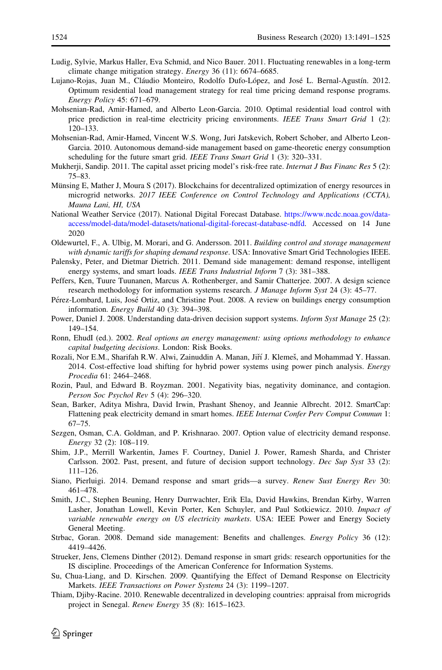- <span id="page-33-0"></span>Ludig, Sylvie, Markus Haller, Eva Schmid, and Nico Bauer. 2011. Fluctuating renewables in a long-term climate change mitigation strategy. Energy 36 (11): 6674–6685.
- Lujano-Rojas, Juan M., Cláudio Monteiro, Rodolfo Dufo-López, and José L. Bernal-Agustín. 2012. Optimum residential load management strategy for real time pricing demand response programs. Energy Policy 45: 671–679.
- Mohsenian-Rad, Amir-Hamed, and Alberto Leon-Garcia. 2010. Optimal residential load control with price prediction in real-time electricity pricing environments. IEEE Trans Smart Grid 1 (2): 120–133.
- Mohsenian-Rad, Amir-Hamed, Vincent W.S. Wong, Juri Jatskevich, Robert Schober, and Alberto Leon-Garcia. 2010. Autonomous demand-side management based on game-theoretic energy consumption scheduling for the future smart grid. IEEE Trans Smart Grid 1 (3): 320-331.
- Mukherji, Sandip. 2011. The capital asset pricing model's risk-free rate. Internat J Bus Financ Res 5 (2): 75–83.
- Münsing E, Mather J, Moura S (2017). Blockchains for decentralized optimization of energy resources in microgrid networks. 2017 IEEE Conference on Control Technology and Applications (CCTA), Mauna Lani, HI, USA
- National Weather Service (2017). National Digital Forecast Database. [https://www.ncdc.noaa.gov/data](https://www.ncdc.noaa.gov/data-access/model-data/model-datasets/national-digital-forecast-database-ndfd)[access/model-data/model-datasets/national-digital-forecast-database-ndfd.](https://www.ncdc.noaa.gov/data-access/model-data/model-datasets/national-digital-forecast-database-ndfd) Accessed on 14 June 2020
- Oldewurtel, F., A. Ulbig, M. Morari, and G. Andersson. 2011. Building control and storage management with dynamic tariffs for shaping demand response. USA: Innovative Smart Grid Technologies IEEE.
- Palensky, Peter, and Dietmar Dietrich. 2011. Demand side management: demand response, intelligent energy systems, and smart loads. IEEE Trans Industrial Inform 7 (3): 381-388.
- Peffers, Ken, Tuure Tuunanen, Marcus A. Rothenberger, and Samir Chatterjee. 2007. A design science research methodology for information systems research. J Manage Inform Syst 24 (3): 45–77.
- Pérez-Lombard, Luis, José Ortiz, and Christine Pout. 2008. A review on buildings energy consumption information. Energy Build 40 (3): 394–398.
- Power, Daniel J. 2008. Understanding data-driven decision support systems. *Inform Syst Manage* 25 (2): 149–154.
- Ronn, EhudI (ed.). 2002. Real options an energy management: using options methodology to enhance capital budgeting decisions. London: Risk Books.
- Rozali, Nor E.M., Sharifah R.W. Alwi, Zainuddin A. Manan, Jiří J. Klemeš, and Mohammad Y. Hassan. 2014. Cost-effective load shifting for hybrid power systems using power pinch analysis. *Energy* Procedia 61: 2464–2468.
- Rozin, Paul, and Edward B. Royzman. 2001. Negativity bias, negativity dominance, and contagion. Person Soc Psychol Rev 5 (4): 296–320.
- Sean, Barker, Aditya Mishra, David Irwin, Prashant Shenoy, and Jeannie Albrecht. 2012. SmartCap: Flattening peak electricity demand in smart homes. IEEE Internat Confer Perv Comput Commun 1: 67–75.
- Sezgen, Osman, C.A. Goldman, and P. Krishnarao. 2007. Option value of electricity demand response. Energy 32 (2): 108–119.
- Shim, J.P., Merrill Warkentin, James F. Courtney, Daniel J. Power, Ramesh Sharda, and Christer Carlsson. 2002. Past, present, and future of decision support technology. Dec Sup Syst 33 (2): 111–126.
- Siano, Pierluigi. 2014. Demand response and smart grids—a survey. Renew Sust Energy Rev 30: 461–478.
- Smith, J.C., Stephen Beuning, Henry Durrwachter, Erik Ela, David Hawkins, Brendan Kirby, Warren Lasher, Jonathan Lowell, Kevin Porter, Ken Schuyler, and Paul Sotkiewicz. 2010. Impact of variable renewable energy on US electricity markets. USA: IEEE Power and Energy Society General Meeting.
- Strbac, Goran. 2008. Demand side management: Benefits and challenges. Energy Policy 36 (12): 4419–4426.
- Strueker, Jens, Clemens Dinther (2012). Demand response in smart grids: research opportunities for the IS discipline. Proceedings of the American Conference for Information Systems.
- Su, Chua-Liang, and D. Kirschen. 2009. Quantifying the Effect of Demand Response on Electricity Markets. IEEE Transactions on Power Systems 24 (3): 1199–1207.
- Thiam, Djiby-Racine. 2010. Renewable decentralized in developing countries: appraisal from microgrids project in Senegal. Renew Energy 35 (8): 1615–1623.